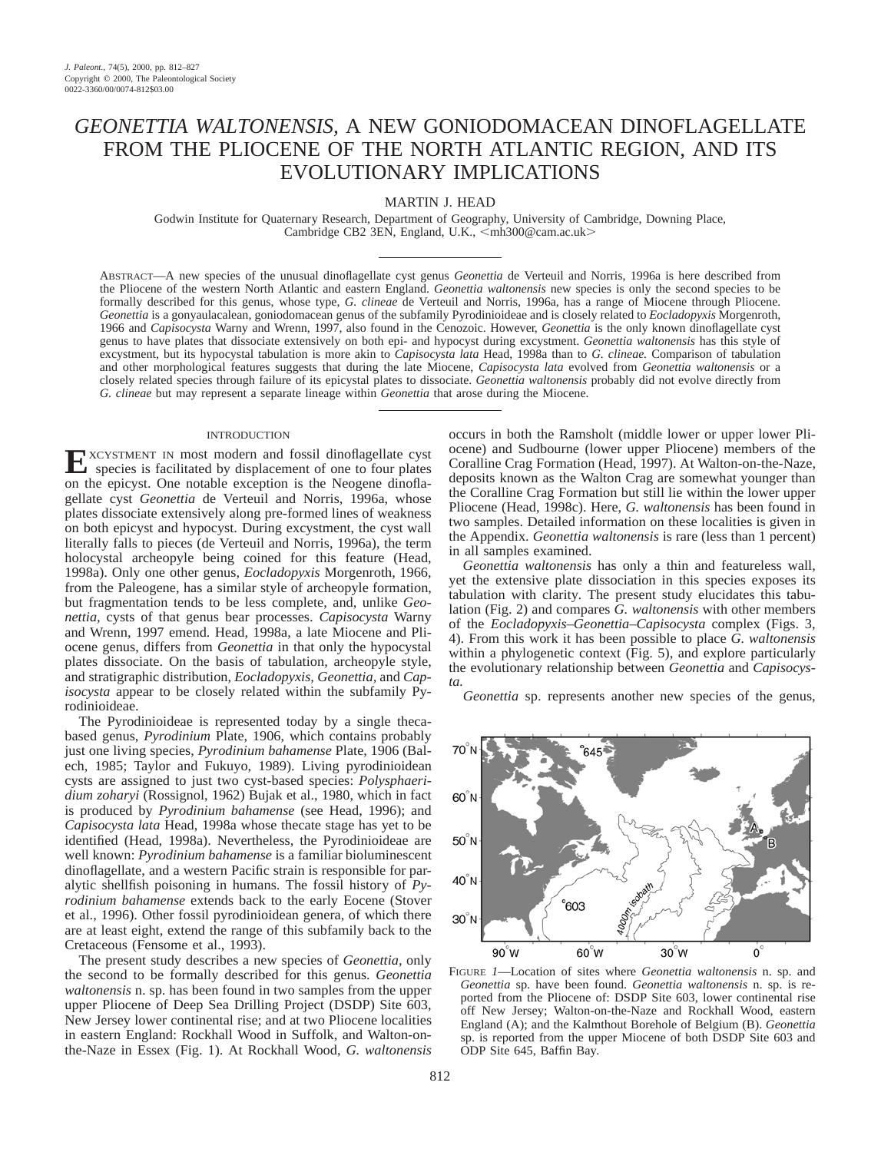# *GEONETTIA WALTONENSIS,* A NEW GONIODOMACEAN DINOFLAGELLATE FROM THE PLIOCENE OF THE NORTH ATLANTIC REGION, AND ITS EVOLUTIONARY IMPLICATIONS

MARTIN J. HEAD

Godwin Institute for Quaternary Research, Department of Geography, University of Cambridge, Downing Place, Cambridge CB2 3EN, England, U.K., <mh300@cam.ac.uk>

ABSTRACT—A new species of the unusual dinoflagellate cyst genus *Geonettia* de Verteuil and Norris, 1996a is here described from the Pliocene of the western North Atlantic and eastern England. *Geonettia waltonensis* new species is only the second species to be formally described for this genus, whose type, *G. clineae* de Verteuil and Norris, 1996a, has a range of Miocene through Pliocene. *Geonettia* is a gonyaulacalean, goniodomacean genus of the subfamily Pyrodinioideae and is closely related to *Eocladopyxis* Morgenroth, 1966 and *Capisocysta* Warny and Wrenn, 1997, also found in the Cenozoic. However, *Geonettia* is the only known dinoflagellate cyst genus to have plates that dissociate extensively on both epi- and hypocyst during excystment. *Geonettia waltonensis* has this style of excystment, but its hypocystal tabulation is more akin to *Capisocysta lata* Head, 1998a than to *G. clineae.* Comparison of tabulation and other morphological features suggests that during the late Miocene, *Capisocysta lata* evolved from *Geonettia waltonensis* or a closely related species through failure of its epicystal plates to dissociate. *Geonettia waltonensis* probably did not evolve directly from *G. clineae* but may represent a separate lineage within *Geonettia* that arose during the Miocene.

## INTRODUCTION

EXCYSTMENT IN most modern and fossil dinoflagellate cyst species is facilitated by displacement of one to four plates on the epicyst. One notable exception is the Neogene dinoflagellate cyst *Geonettia* de Verteuil and Norris, 1996a, whose plates dissociate extensively along pre-formed lines of weakness on both epicyst and hypocyst. During excystment, the cyst wall literally falls to pieces (de Verteuil and Norris, 1996a), the term holocystal archeopyle being coined for this feature (Head, 1998a). Only one other genus, *Eocladopyxis* Morgenroth, 1966, from the Paleogene, has a similar style of archeopyle formation, but fragmentation tends to be less complete, and, unlike *Geonettia,* cysts of that genus bear processes. *Capisocysta* Warny and Wrenn, 1997 emend. Head, 1998a, a late Miocene and Pliocene genus, differs from *Geonettia* in that only the hypocystal plates dissociate. On the basis of tabulation, archeopyle style, and stratigraphic distribution, *Eocladopyxis, Geonettia,* and *Capisocysta* appear to be closely related within the subfamily Pyrodinioideae.

The Pyrodinioideae is represented today by a single thecabased genus, *Pyrodinium* Plate, 1906, which contains probably just one living species, *Pyrodinium bahamense* Plate, 1906 (Balech, 1985; Taylor and Fukuyo, 1989). Living pyrodinioidean cysts are assigned to just two cyst-based species: *Polysphaeridium zoharyi* (Rossignol, 1962) Bujak et al., 1980, which in fact is produced by *Pyrodinium bahamense* (see Head, 1996); and *Capisocysta lata* Head, 1998a whose thecate stage has yet to be identified (Head, 1998a). Nevertheless, the Pyrodinioideae are well known: *Pyrodinium bahamense* is a familiar bioluminescent dinoflagellate, and a western Pacific strain is responsible for paralytic shellfish poisoning in humans. The fossil history of *Pyrodinium bahamense* extends back to the early Eocene (Stover et al., 1996). Other fossil pyrodinioidean genera, of which there are at least eight, extend the range of this subfamily back to the Cretaceous (Fensome et al., 1993).

The present study describes a new species of *Geonettia,* only the second to be formally described for this genus. *Geonettia waltonensis* n. sp. has been found in two samples from the upper upper Pliocene of Deep Sea Drilling Project (DSDP) Site 603, New Jersey lower continental rise; and at two Pliocene localities in eastern England: Rockhall Wood in Suffolk, and Walton-onthe-Naze in Essex (Fig. 1). At Rockhall Wood, *G. waltonensis* occurs in both the Ramsholt (middle lower or upper lower Pliocene) and Sudbourne (lower upper Pliocene) members of the Coralline Crag Formation (Head, 1997). At Walton-on-the-Naze, deposits known as the Walton Crag are somewhat younger than the Coralline Crag Formation but still lie within the lower upper Pliocene (Head, 1998c). Here, *G. waltonensis* has been found in two samples. Detailed information on these localities is given in the Appendix. *Geonettia waltonensis* is rare (less than 1 percent) in all samples examined.

*Geonettia waltonensis* has only a thin and featureless wall, yet the extensive plate dissociation in this species exposes its tabulation with clarity. The present study elucidates this tabulation (Fig. 2) and compares *G. waltonensis* with other members of the *Eocladopyxis*–*Geonettia*–*Capisocysta* complex (Figs. 3, 4). From this work it has been possible to place *G. waltonensis* within a phylogenetic context (Fig. 5), and explore particularly the evolutionary relationship between *Geonettia* and *Capisocysta.*

*Geonettia* sp. represents another new species of the genus,



FIGURE *1*—Location of sites where *Geonettia waltonensis* n. sp. and *Geonettia* sp. have been found. *Geonettia waltonensis* n. sp. is reported from the Pliocene of: DSDP Site 603, lower continental rise off New Jersey; Walton-on-the-Naze and Rockhall Wood, eastern England (A); and the Kalmthout Borehole of Belgium (B). *Geonettia* sp. is reported from the upper Miocene of both DSDP Site 603 and ODP Site 645, Baffin Bay.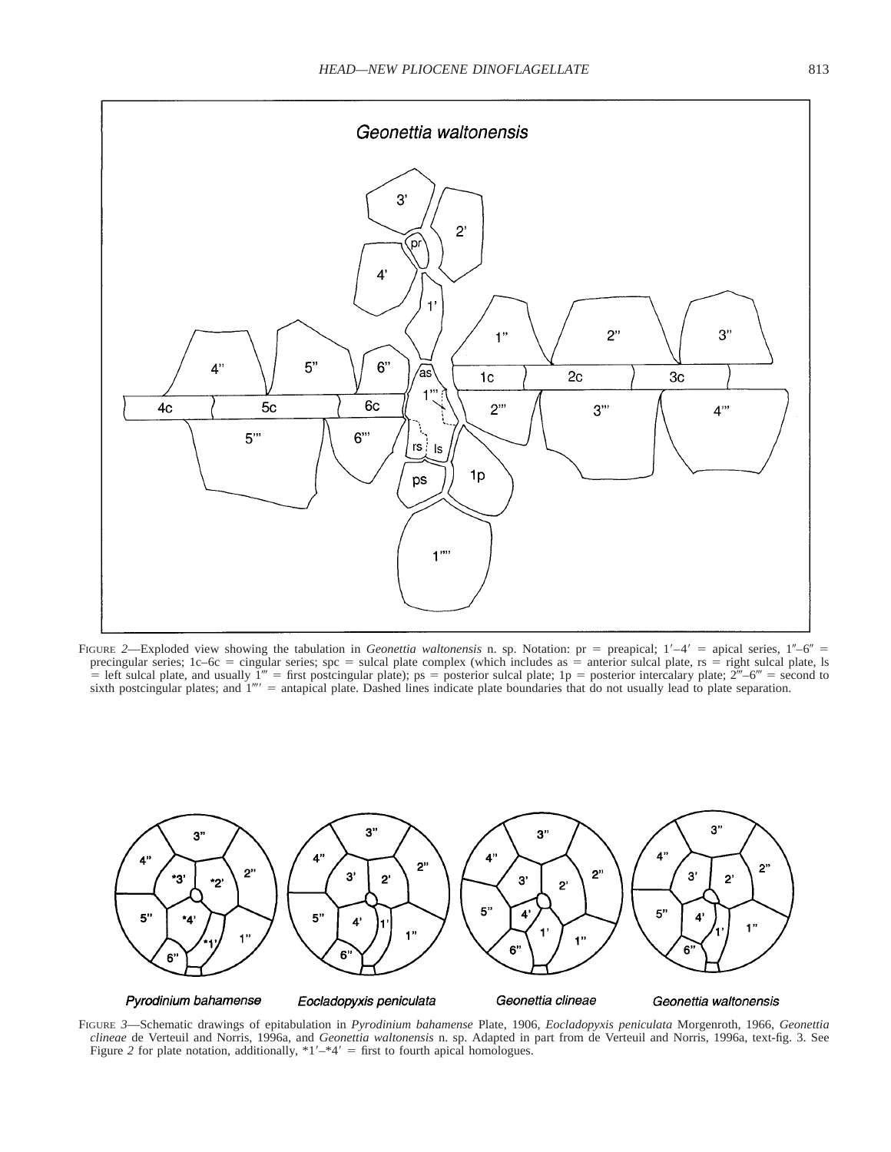

FIGURE 2—Exploded view showing the tabulation in *Geonettia waltonensis* n. sp. Notation: pr = preapical; 1'-4' = apical series, 1"-6" = precingular series;  $1c-6c = c$ ingular series;  $spc =$  sulcal plate complex (which includes as = anterior sulcal plate, rs = right sulcal plate, ls = left sulcal plate, and usually  $1<sup>m</sup>$  = first postcingular plate); ps = posterior sulcal plate; 1p = posterior intercalary plate;  $2<sup>m</sup>$  = second to sixth postcingular plates; and  $1^{m}$  = antapical plate. Dashed lines indicate plate boundaries that do not usually lead to plate separation.



FIGURE *3*—Schematic drawings of epitabulation in *Pyrodinium bahamense* Plate, 1906, *Eocladopyxis peniculata* Morgenroth, 1966, *Geonettia clineae* de Verteuil and Norris, 1996a, and *Geonettia waltonensis* n. sp. Adapted in part from de Verteuil and Norris, 1996a, text-fig. 3. See Figure 2 for plate notation, additionally,  $*1' - *4' =$  first to fourth apical homologues.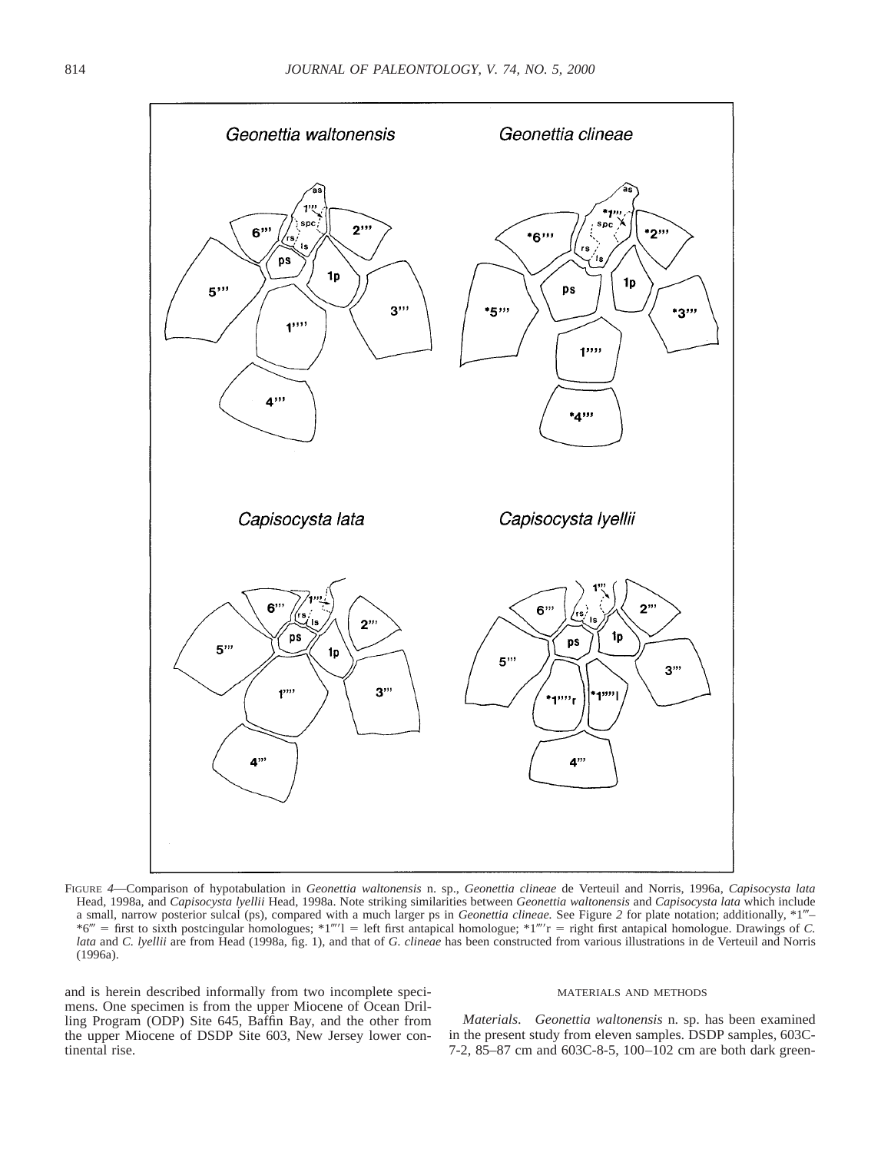

FIGURE *4*—Comparison of hypotabulation in *Geonettia waltonensis* n. sp., *Geonettia clineae* de Verteuil and Norris, 1996a, *Capisocysta lata* Head, 1998a, and *Capisocysta lyellii* Head, 1998a. Note striking similarities between *Geonettia waltonensis* and *Capisocysta lata* which include a small, narrow posterior sulcal (ps), compared with a much larger ps in *Geonettia clineae*. See Figure 2 for plate notation; additionally, \*1<sup>'''</sup>  $*6<sup>m</sup> =$  first to sixth postcingular homologues;  $*1<sup>m</sup>1 =$  left first antapical homologue;  $*1<sup>m</sup>r =$  right first antapical homologue. Drawings of *C*. *lata* and *C. lyellii* are from Head (1998a, fig. 1), and that of *G. clineae* has been constructed from various illustrations in de Verteuil and Norris (1996a).

and is herein described informally from two incomplete specimens. One specimen is from the upper Miocene of Ocean Drilling Program (ODP) Site 645, Baffin Bay, and the other from the upper Miocene of DSDP Site 603, New Jersey lower continental rise.

## MATERIALS AND METHODS

*Materials*.*Geonettia waltonensis* n. sp. has been examined in the present study from eleven samples. DSDP samples, 603C-7-2, 85–87 cm and 603C-8-5, 100–102 cm are both dark green-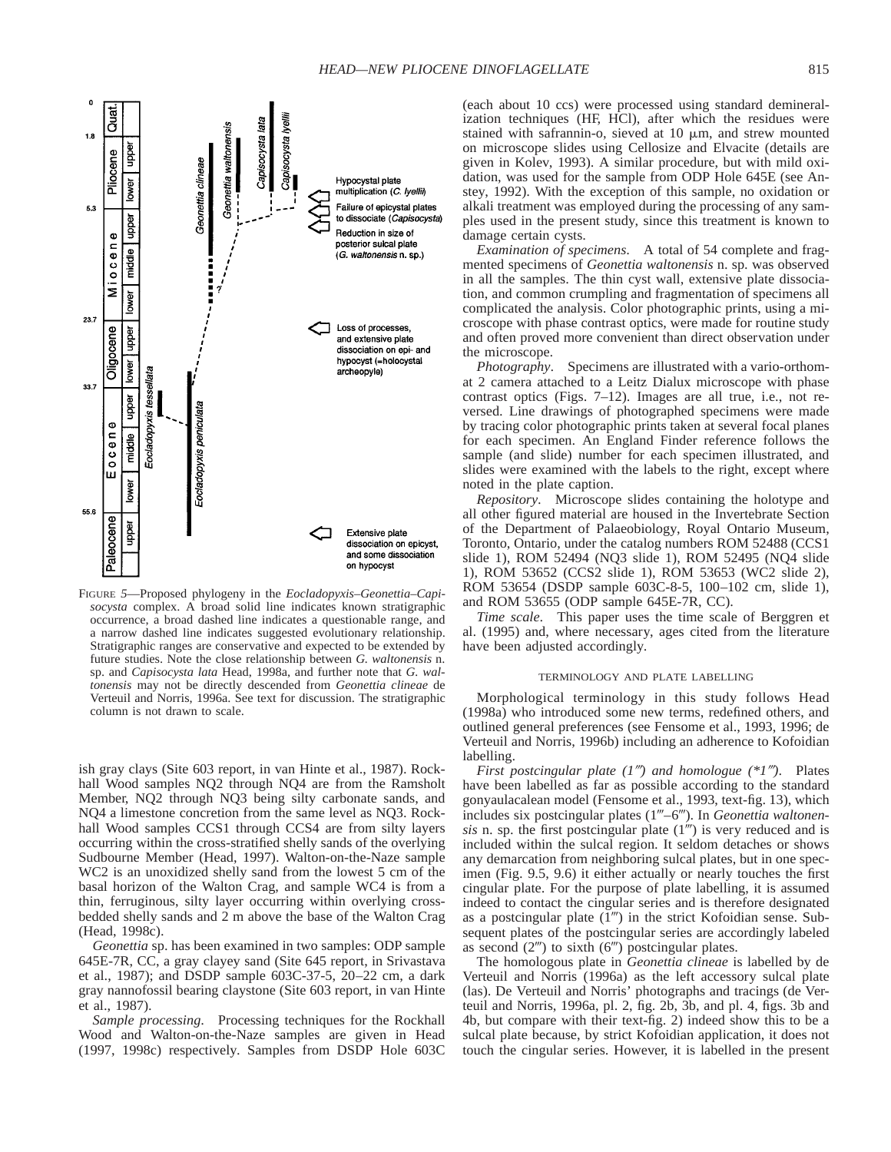

FIGURE *5*—Proposed phylogeny in the *Eocladopyxis*–*Geonettia*–*Capisocysta* complex. A broad solid line indicates known stratigraphic occurrence, a broad dashed line indicates a questionable range, and a narrow dashed line indicates suggested evolutionary relationship. Stratigraphic ranges are conservative and expected to be extended by future studies. Note the close relationship between *G. waltonensis* n. sp. and *Capisocysta lata* Head, 1998a, and further note that *G. waltonensis* may not be directly descended from *Geonettia clineae* de Verteuil and Norris, 1996a. See text for discussion. The stratigraphic column is not drawn to scale.

ish gray clays (Site 603 report, in van Hinte et al., 1987). Rockhall Wood samples NQ2 through NQ4 are from the Ramsholt Member, NQ2 through NQ3 being silty carbonate sands, and NQ4 a limestone concretion from the same level as NQ3. Rockhall Wood samples CCS1 through CCS4 are from silty layers occurring within the cross-stratified shelly sands of the overlying Sudbourne Member (Head, 1997). Walton-on-the-Naze sample WC2 is an unoxidized shelly sand from the lowest 5 cm of the basal horizon of the Walton Crag, and sample WC4 is from a thin, ferruginous, silty layer occurring within overlying crossbedded shelly sands and 2 m above the base of the Walton Crag (Head, 1998c).

*Geonettia* sp. has been examined in two samples: ODP sample 645E-7R, CC, a gray clayey sand (Site 645 report, in Srivastava et al., 1987); and DSDP sample 603C-37-5, 20–22 cm, a dark gray nannofossil bearing claystone (Site 603 report, in van Hinte et al., 1987).

*Sample processing*.—Processing techniques for the Rockhall Wood and Walton-on-the-Naze samples are given in Head (1997, 1998c) respectively. Samples from DSDP Hole 603C (each about 10 ccs) were processed using standard demineralization techniques (HF, HCl), after which the residues were stained with safrannin-o, sieved at  $10 \mu m$ , and strew mounted on microscope slides using Cellosize and Elvacite (details are given in Kolev, 1993). A similar procedure, but with mild oxidation, was used for the sample from ODP Hole 645E (see Anstey, 1992). With the exception of this sample, no oxidation or alkali treatment was employed during the processing of any samples used in the present study, since this treatment is known to damage certain cysts.

*Examination of specimens.*—A total of 54 complete and fragmented specimens of *Geonettia waltonensis* n. sp. was observed in all the samples. The thin cyst wall, extensive plate dissociation, and common crumpling and fragmentation of specimens all complicated the analysis. Color photographic prints, using a microscope with phase contrast optics, were made for routine study and often proved more convenient than direct observation under the microscope.

*Photography*.—Specimens are illustrated with a vario-orthomat 2 camera attached to a Leitz Dialux microscope with phase contrast optics (Figs. 7–12). Images are all true, i.e., not reversed. Line drawings of photographed specimens were made by tracing color photographic prints taken at several focal planes for each specimen. An England Finder reference follows the sample (and slide) number for each specimen illustrated, and slides were examined with the labels to the right, except where noted in the plate caption.

*Repository*.—Microscope slides containing the holotype and all other figured material are housed in the Invertebrate Section of the Department of Palaeobiology, Royal Ontario Museum, Toronto, Ontario, under the catalog numbers ROM 52488 (CCS1 slide 1), ROM 52494 (NQ3 slide 1), ROM 52495 (NQ4 slide 1), ROM 53652 (CCS2 slide 1), ROM 53653 (WC2 slide 2), ROM 53654 (DSDP sample 603C-8-5, 100–102 cm, slide 1), and ROM 53655 (ODP sample 645E-7R, CC).

*Time scale*.—This paper uses the time scale of Berggren et al. (1995) and, where necessary, ages cited from the literature have been adjusted accordingly.

#### TERMINOLOGY AND PLATE LABELLING

Morphological terminology in this study follows Head (1998a) who introduced some new terms, redefined others, and outlined general preferences (see Fensome et al., 1993, 1996; de Verteuil and Norris, 1996b) including an adherence to Kofoidian labelling.

*First postcingular plate (1<sup>m</sup>) and homologue (\*1<sup>m</sup>).—Plates* have been labelled as far as possible according to the standard gonyaulacalean model (Fensome et al., 1993, text-fig. 13), which includes six postcingular plates  $(1'''-6'')$ . In *Geonettia waltonen* $sis$  n. sp. the first postcingular plate  $(1<sup>m</sup>)$  is very reduced and is included within the sulcal region. It seldom detaches or shows any demarcation from neighboring sulcal plates, but in one specimen (Fig. 9.5, 9.6) it either actually or nearly touches the first cingular plate. For the purpose of plate labelling, it is assumed indeed to contact the cingular series and is therefore designated as a postcingular plate  $(1<sup>m</sup>)$  in the strict Kofoidian sense. Subsequent plates of the postcingular series are accordingly labeled as second  $(2<sup>m</sup>)$  to sixth  $(6<sup>m</sup>)$  postcingular plates.

The homologous plate in *Geonettia clineae* is labelled by de Verteuil and Norris (1996a) as the left accessory sulcal plate (las). De Verteuil and Norris' photographs and tracings (de Verteuil and Norris, 1996a, pl. 2, fig. 2b, 3b, and pl. 4, figs. 3b and 4b, but compare with their text-fig. 2) indeed show this to be a sulcal plate because, by strict Kofoidian application, it does not touch the cingular series. However, it is labelled in the present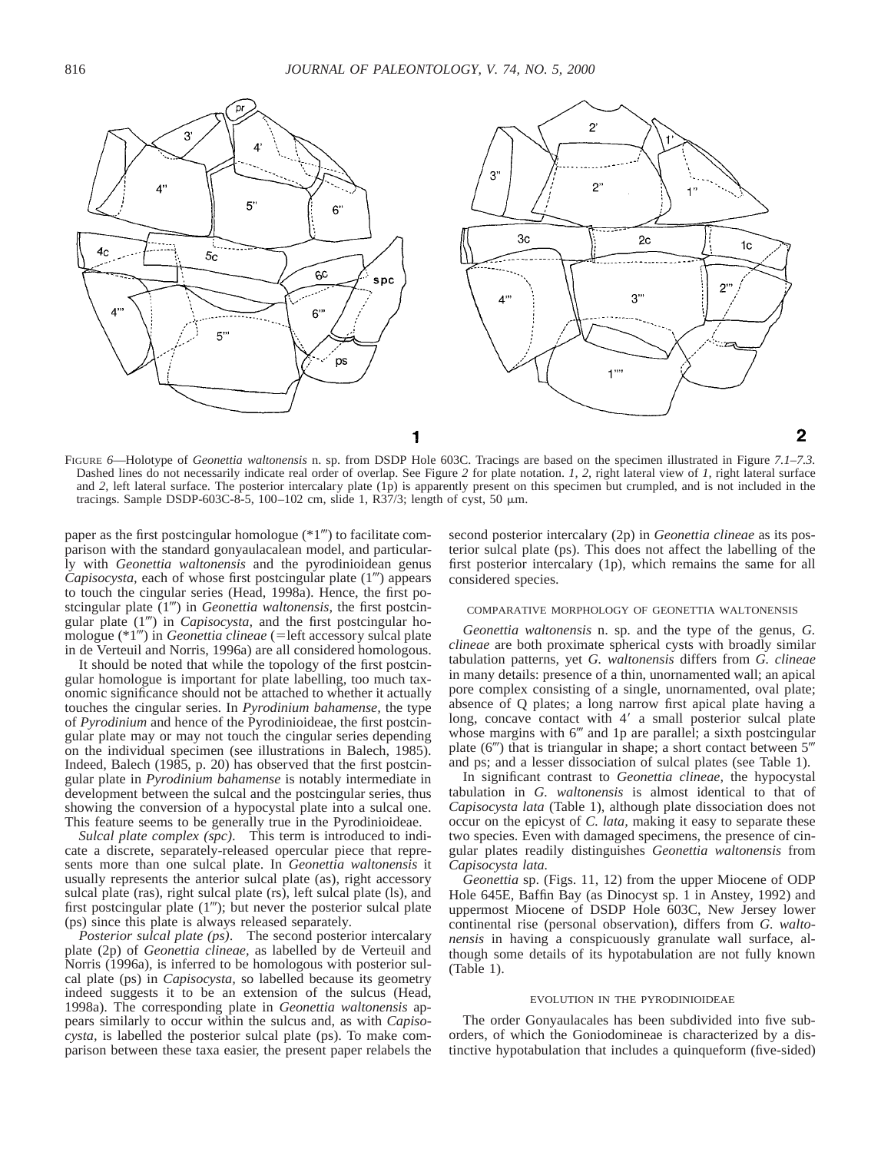

FIGURE *6*—Holotype of *Geonettia waltonensis* n. sp. from DSDP Hole 603C. Tracings are based on the specimen illustrated in Figure *7.1*–*7.3.* Dashed lines do not necessarily indicate real order of overlap. See Figure *2* for plate notation. *1, 2,* right lateral view of *1,* right lateral surface and *2,* left lateral surface. The posterior intercalary plate (1p) is apparently present on this specimen but crumpled, and is not included in the tracings. Sample DSDP-603C-8-5, 100-102 cm, slide 1, R37/3; length of cyst, 50  $\mu$ m.

paper as the first postcingular homologue  $(*1")$  to facilitate comparison with the standard gonyaulacalean model, and particularly with *Geonettia waltonensis* and the pyrodinioidean genus *Capisocysta,* each of whose first postcingular plate (1<sup>m</sup>) appears to touch the cingular series (Head, 1998a). Hence, the first postcingular plate (1''') in *Geonettia waltonensis*, the first postcingular plate (1<sup>m</sup>) in *Capisocysta*, and the first postcingular homologue (\*1<sup>'''</sup>) in *Geonettia clineae* (=left accessory sulcal plate in de Verteuil and Norris, 1996a) are all considered homologous.

It should be noted that while the topology of the first postcingular homologue is important for plate labelling, too much taxonomic significance should not be attached to whether it actually touches the cingular series. In *Pyrodinium bahamense,* the type of *Pyrodinium* and hence of the Pyrodinioideae, the first postcingular plate may or may not touch the cingular series depending on the individual specimen (see illustrations in Balech, 1985). Indeed, Balech (1985, p. 20) has observed that the first postcingular plate in *Pyrodinium bahamense* is notably intermediate in development between the sulcal and the postcingular series, thus showing the conversion of a hypocystal plate into a sulcal one. This feature seems to be generally true in the Pyrodinioideae.

*Sulcal plate complex (spc)*.—This term is introduced to indicate a discrete, separately-released opercular piece that represents more than one sulcal plate. In *Geonettia waltonensis* it usually represents the anterior sulcal plate (as), right accessory sulcal plate (ras), right sulcal plate (rs), left sulcal plate (ls), and first postcingular plate  $(1<sup>m</sup>)$ ; but never the posterior sulcal plate (ps) since this plate is always released separately.

*Posterior sulcal plate (ps)*.—The second posterior intercalary plate (2p) of *Geonettia clineae,* as labelled by de Verteuil and Norris (1996a), is inferred to be homologous with posterior sulcal plate (ps) in *Capisocysta,* so labelled because its geometry indeed suggests it to be an extension of the sulcus (Head, 1998a). The corresponding plate in *Geonettia waltonensis* appears similarly to occur within the sulcus and, as with *Capisocysta,* is labelled the posterior sulcal plate (ps). To make comparison between these taxa easier, the present paper relabels the

second posterior intercalary (2p) in *Geonettia clineae* as its posterior sulcal plate (ps). This does not affect the labelling of the first posterior intercalary (1p), which remains the same for all considered species.

# COMPARATIVE MORPHOLOGY OF GEONETTIA WALTONENSIS

*Geonettia waltonensis* n. sp. and the type of the genus, *G. clineae* are both proximate spherical cysts with broadly similar tabulation patterns, yet *G. waltonensis* differs from *G. clineae* in many details: presence of a thin, unornamented wall; an apical pore complex consisting of a single, unornamented, oval plate; absence of Q plates; a long narrow first apical plate having a long, concave contact with 4' a small posterior sulcal plate whose margins with  $6^{\prime\prime\prime}$  and 1p are parallel; a sixth postcingular plate  $(6<sup>m</sup>)$  that is triangular in shape; a short contact between  $5<sup>m</sup>$ and ps; and a lesser dissociation of sulcal plates (see Table 1).

In significant contrast to *Geonettia clineae,* the hypocystal tabulation in *G. waltonensis* is almost identical to that of *Capisocysta lata* (Table 1), although plate dissociation does not occur on the epicyst of *C. lata,* making it easy to separate these two species. Even with damaged specimens, the presence of cingular plates readily distinguishes *Geonettia waltonensis* from *Capisocysta lata.*

*Geonettia* sp. (Figs. 11, 12) from the upper Miocene of ODP Hole 645E, Baffin Bay (as Dinocyst sp. 1 in Anstey, 1992) and uppermost Miocene of DSDP Hole 603C, New Jersey lower continental rise (personal observation), differs from *G. waltonensis* in having a conspicuously granulate wall surface, although some details of its hypotabulation are not fully known (Table 1).

## EVOLUTION IN THE PYRODINIOIDEAE

The order Gonyaulacales has been subdivided into five suborders, of which the Goniodomineae is characterized by a distinctive hypotabulation that includes a quinqueform (five-sided)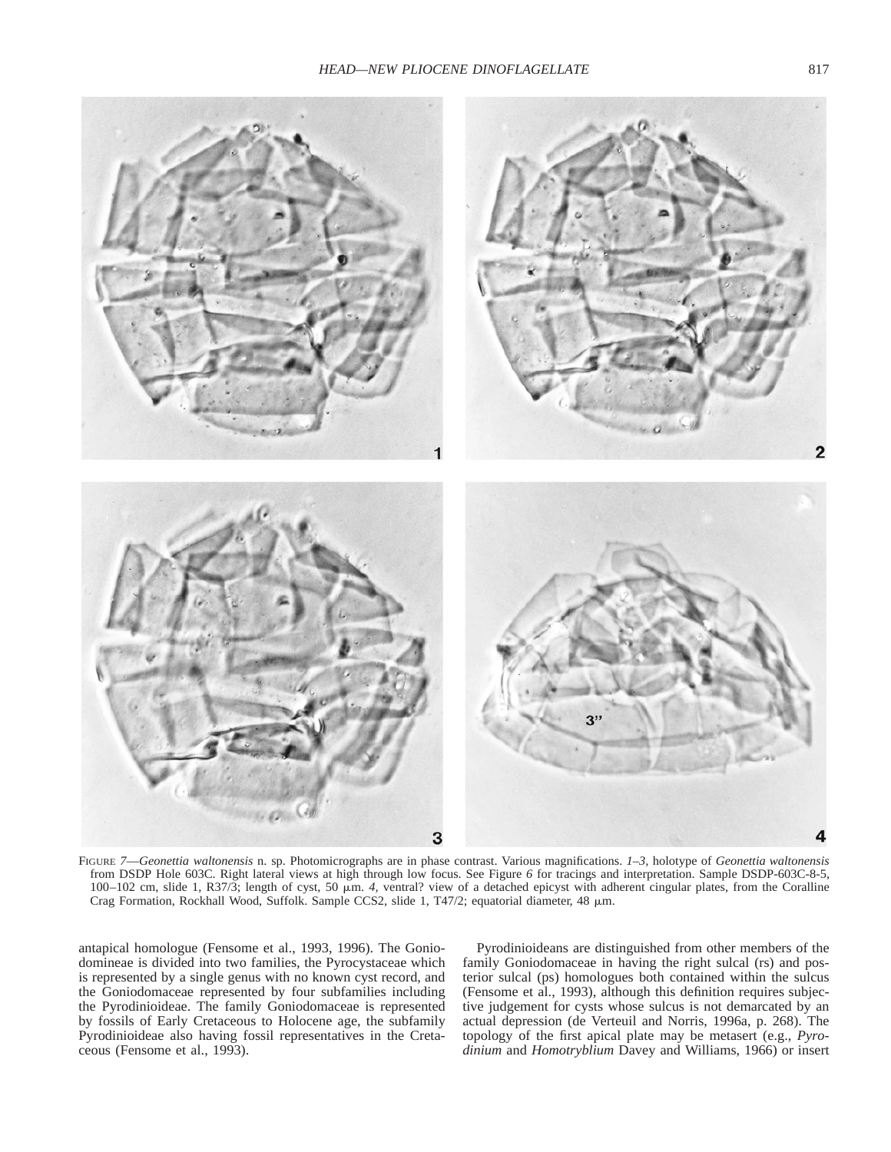

FIGURE *7*—*Geonettia waltonensis* n. sp. Photomicrographs are in phase contrast. Various magnifications. *1*–*3,* holotype of *Geonettia waltonensis* from DSDP Hole 603C. Right lateral views at high through low focus. See Figure *6* for tracings and interpretation. Sample DSDP-603C-8-5, 100–102 cm, slide 1, R37/3; length of cyst, 50 mm. *4,* ventral? view of a detached epicyst with adherent cingular plates, from the Coralline Crag Formation, Rockhall Wood, Suffolk. Sample CCS2, slide 1, T47/2; equatorial diameter, 48 mm.

antapical homologue (Fensome et al., 1993, 1996). The Goniodomineae is divided into two families, the Pyrocystaceae which is represented by a single genus with no known cyst record, and the Goniodomaceae represented by four subfamilies including the Pyrodinioideae. The family Goniodomaceae is represented by fossils of Early Cretaceous to Holocene age, the subfamily Pyrodinioideae also having fossil representatives in the Cretaceous (Fensome et al., 1993).

Pyrodinioideans are distinguished from other members of the family Goniodomaceae in having the right sulcal (rs) and posterior sulcal (ps) homologues both contained within the sulcus (Fensome et al., 1993), although this definition requires subjective judgement for cysts whose sulcus is not demarcated by an actual depression (de Verteuil and Norris, 1996a, p. 268). The topology of the first apical plate may be metasert (e.g., *Pyrodinium* and *Homotryblium* Davey and Williams, 1966) or insert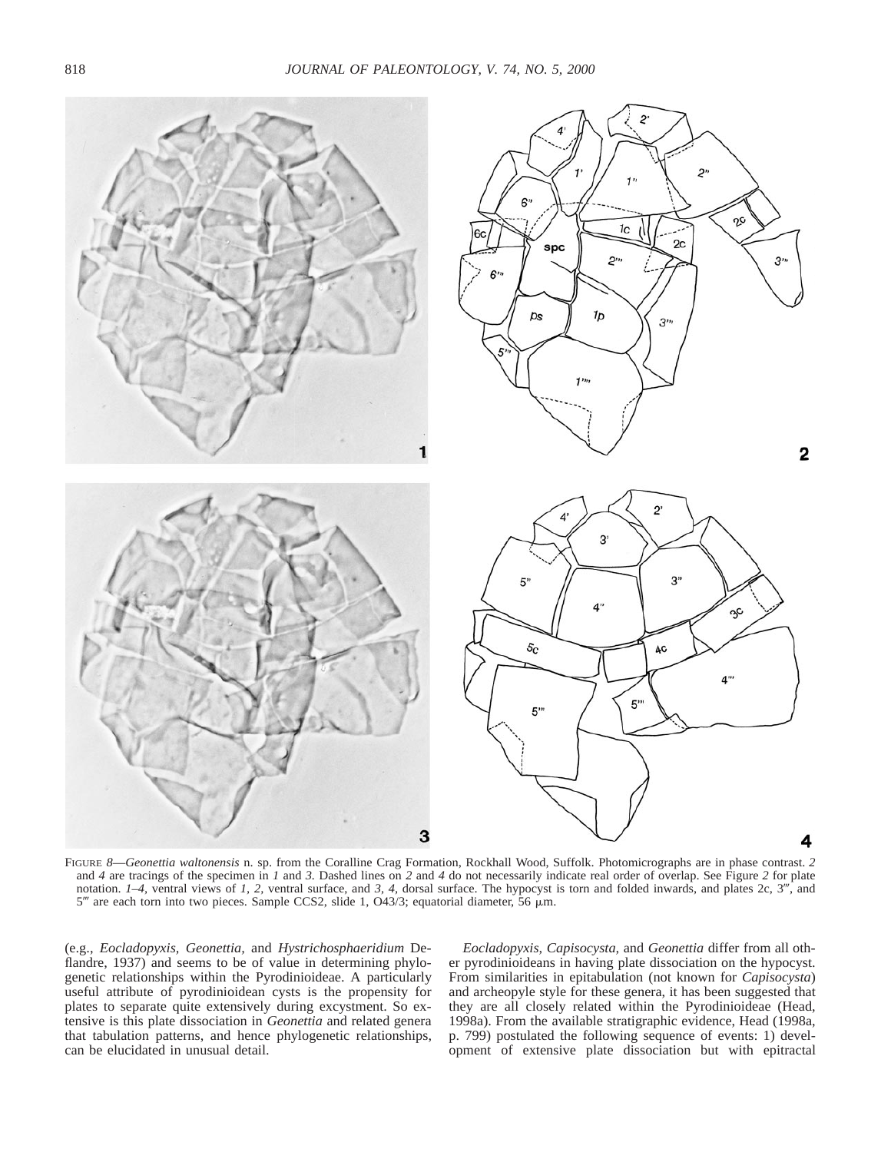

FIGURE *8*—*Geonettia waltonensis* n. sp. from the Coralline Crag Formation, Rockhall Wood, Suffolk. Photomicrographs are in phase contrast. *2* and *4* are tracings of the specimen in *1* and *3.* Dashed lines on *2* and *4* do not necessarily indicate real order of overlap. See Figure *2* for plate notation. *1–4*, ventral views of *1*, 2, ventral surface, and 3, 4, dorsal surface. The hypocyst is torn and folded inwards, and plates 2c, 3<sup>*m*</sup>, and  $5^{\prime\prime\prime}$  are each torn into two pieces. Sample CCS2, slide 1, O43/3; equatorial diameter, 56  $\mu$ m.

(e.g., *Eocladopyxis, Geonettia,* and *Hystrichosphaeridium* Deflandre, 1937) and seems to be of value in determining phylogenetic relationships within the Pyrodinioideae. A particularly useful attribute of pyrodinioidean cysts is the propensity for plates to separate quite extensively during excystment. So extensive is this plate dissociation in *Geonettia* and related genera that tabulation patterns, and hence phylogenetic relationships, can be elucidated in unusual detail.

*Eocladopyxis, Capisocysta,* and *Geonettia* differ from all other pyrodinioideans in having plate dissociation on the hypocyst. From similarities in epitabulation (not known for *Capisocysta*) and archeopyle style for these genera, it has been suggested that they are all closely related within the Pyrodinioideae (Head, 1998a). From the available stratigraphic evidence, Head (1998a, p. 799) postulated the following sequence of events: 1) development of extensive plate dissociation but with epitractal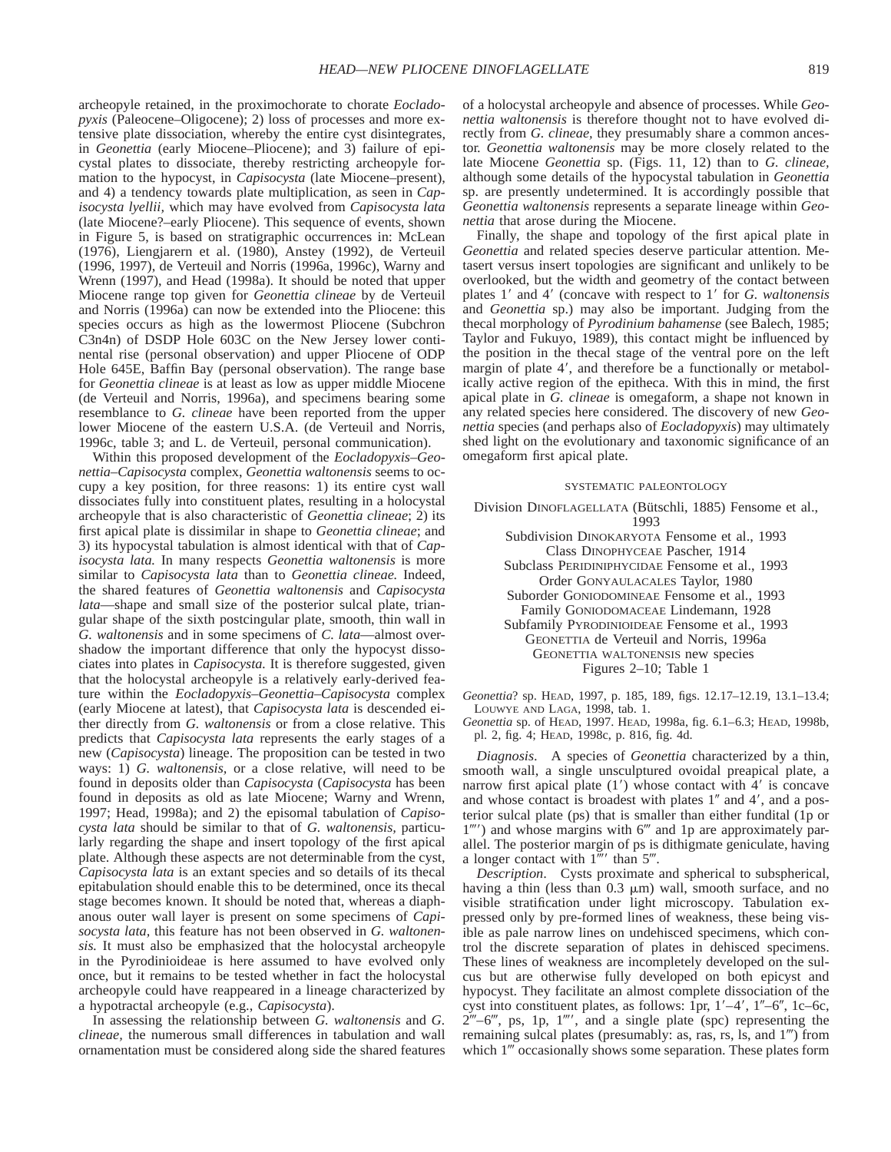archeopyle retained, in the proximochorate to chorate *Eocladopyxis* (Paleocene–Oligocene); 2) loss of processes and more extensive plate dissociation, whereby the entire cyst disintegrates, in *Geonettia* (early Miocene–Pliocene); and 3) failure of epicystal plates to dissociate, thereby restricting archeopyle formation to the hypocyst, in *Capisocysta* (late Miocene–present), and 4) a tendency towards plate multiplication, as seen in *Capisocysta lyellii,* which may have evolved from *Capisocysta lata* (late Miocene?–early Pliocene). This sequence of events, shown in Figure 5, is based on stratigraphic occurrences in: McLean (1976), Liengjarern et al. (1980), Anstey (1992), de Verteuil (1996, 1997), de Verteuil and Norris (1996a, 1996c), Warny and Wrenn (1997), and Head (1998a). It should be noted that upper Miocene range top given for *Geonettia clineae* by de Verteuil and Norris (1996a) can now be extended into the Pliocene: this species occurs as high as the lowermost Pliocene (Subchron C3n4n) of DSDP Hole 603C on the New Jersey lower continental rise (personal observation) and upper Pliocene of ODP Hole 645E, Baffin Bay (personal observation). The range base for *Geonettia clineae* is at least as low as upper middle Miocene (de Verteuil and Norris, 1996a), and specimens bearing some resemblance to *G. clineae* have been reported from the upper lower Miocene of the eastern U.S.A. (de Verteuil and Norris, 1996c, table 3; and L. de Verteuil, personal communication).

Within this proposed development of the *Eocladopyxis–Geonettia–Capisocysta* complex, *Geonettia waltonensis* seems to occupy a key position, for three reasons: 1) its entire cyst wall dissociates fully into constituent plates, resulting in a holocystal archeopyle that is also characteristic of *Geonettia clineae*; 2) its first apical plate is dissimilar in shape to *Geonettia clineae*; and 3) its hypocystal tabulation is almost identical with that of *Capisocysta lata.* In many respects *Geonettia waltonensis* is more similar to *Capisocysta lata* than to *Geonettia clineae.* Indeed, the shared features of *Geonettia waltonensis* and *Capisocysta lata*—shape and small size of the posterior sulcal plate, triangular shape of the sixth postcingular plate, smooth, thin wall in *G. waltonensis* and in some specimens of *C. lata*—almost overshadow the important difference that only the hypocyst dissociates into plates in *Capisocysta.* It is therefore suggested, given that the holocystal archeopyle is a relatively early-derived feature within the *Eocladopyxis–Geonettia–Capisocysta* complex (early Miocene at latest), that *Capisocysta lata* is descended either directly from *G. waltonensis* or from a close relative. This predicts that *Capisocysta lata* represents the early stages of a new (*Capisocysta*) lineage. The proposition can be tested in two ways: 1) *G. waltonensis,* or a close relative, will need to be found in deposits older than *Capisocysta* (*Capisocysta* has been found in deposits as old as late Miocene; Warny and Wrenn, 1997; Head, 1998a); and 2) the episomal tabulation of *Capisocysta lata* should be similar to that of *G. waltonensis,* particularly regarding the shape and insert topology of the first apical plate. Although these aspects are not determinable from the cyst, *Capisocysta lata* is an extant species and so details of its thecal epitabulation should enable this to be determined, once its thecal stage becomes known. It should be noted that, whereas a diaphanous outer wall layer is present on some specimens of *Capisocysta lata,* this feature has not been observed in *G. waltonensis.* It must also be emphasized that the holocystal archeopyle in the Pyrodinioideae is here assumed to have evolved only once, but it remains to be tested whether in fact the holocystal archeopyle could have reappeared in a lineage characterized by a hypotractal archeopyle (e.g., *Capisocysta*).

In assessing the relationship between *G. waltonensis* and *G. clineae,* the numerous small differences in tabulation and wall ornamentation must be considered along side the shared features of a holocystal archeopyle and absence of processes. While *Geonettia waltonensis* is therefore thought not to have evolved directly from *G. clineae,* they presumably share a common ancestor. *Geonettia waltonensis* may be more closely related to the late Miocene *Geonettia* sp. (Figs. 11, 12) than to *G. clineae,* although some details of the hypocystal tabulation in *Geonettia* sp. are presently undetermined. It is accordingly possible that *Geonettia waltonensis* represents a separate lineage within *Geonettia* that arose during the Miocene.

Finally, the shape and topology of the first apical plate in *Geonettia* and related species deserve particular attention. Metasert versus insert topologies are significant and unlikely to be overlooked, but the width and geometry of the contact between plates 1' and 4' (concave with respect to 1' for *G. waltonensis* and *Geonettia* sp.) may also be important. Judging from the thecal morphology of *Pyrodinium bahamense* (see Balech, 1985; Taylor and Fukuyo, 1989), this contact might be influenced by the position in the thecal stage of the ventral pore on the left margin of plate 4', and therefore be a functionally or metabolically active region of the epitheca. With this in mind, the first apical plate in *G. clineae* is omegaform, a shape not known in any related species here considered. The discovery of new *Geonettia* species (and perhaps also of *Eocladopyxis*) may ultimately shed light on the evolutionary and taxonomic significance of an omegaform first apical plate.

#### SYSTEMATIC PALEONTOLOGY

Division DINOFLAGELLATA (Bütschli, 1885) Fensome et al., 1993

Subdivision DINOKARYOTA Fensome et al., 1993 Class DINOPHYCEAE Pascher, 1914 Subclass PERIDINIPHYCIDAE Fensome et al., 1993 Order GONYAULACALES Taylor, 1980 Suborder GONIODOMINEAE Fensome et al., 1993 Family GONIODOMACEAE Lindemann, 1928 Subfamily PYRODINIOIDEAE Fensome et al., 1993 GEONETTIA de Verteuil and Norris, 1996a GEONETTIA WALTONENSIS new species Figures 2–10; Table 1

*Geonettia*? sp. HEAD, 1997, p. 185, 189, figs. 12.17–12.19, 13.1–13.4; LOUWYE AND LAGA, 1998, tab. 1.

*Geonettia* sp. of HEAD, 1997. HEAD, 1998a, fig. 6.1–6.3; HEAD, 1998b, pl. 2, fig. 4; HEAD, 1998c, p. 816, fig. 4d.

*Diagnosis*.A species of *Geonettia* characterized by a thin, smooth wall, a single unsculptured ovoidal preapical plate, a narrow first apical plate  $(1)$  whose contact with 4' is concave and whose contact is broadest with plates  $1<sup>''</sup>$  and  $4<sup>'</sup>$ , and a posterior sulcal plate (ps) that is smaller than either fundital (1p or  $1''''$ ) and whose margins with 6 $''$  and 1p are approximately parallel. The posterior margin of ps is dithigmate geniculate, having a longer contact with  $1''''$  than  $5'''.$ 

*Description*.—Cysts proximate and spherical to subspherical, having a thin (less than  $0.3 \mu m$ ) wall, smooth surface, and no visible stratification under light microscopy. Tabulation expressed only by pre-formed lines of weakness, these being visible as pale narrow lines on undehisced specimens, which control the discrete separation of plates in dehisced specimens. These lines of weakness are incompletely developed on the sulcus but are otherwise fully developed on both epicyst and hypocyst. They facilitate an almost complete dissociation of the cyst into constituent plates, as follows:  $1pr$ ,  $1'$ –4',  $1''$ –6", 1c–6c,  $2^{m}-6^{m}$ , ps, 1p, 1"', and a single plate (spc) representing the remaining sulcal plates (presumably: as, ras, rs, ls, and 1''') from which 1<sup>"'</sup> occasionally shows some separation. These plates form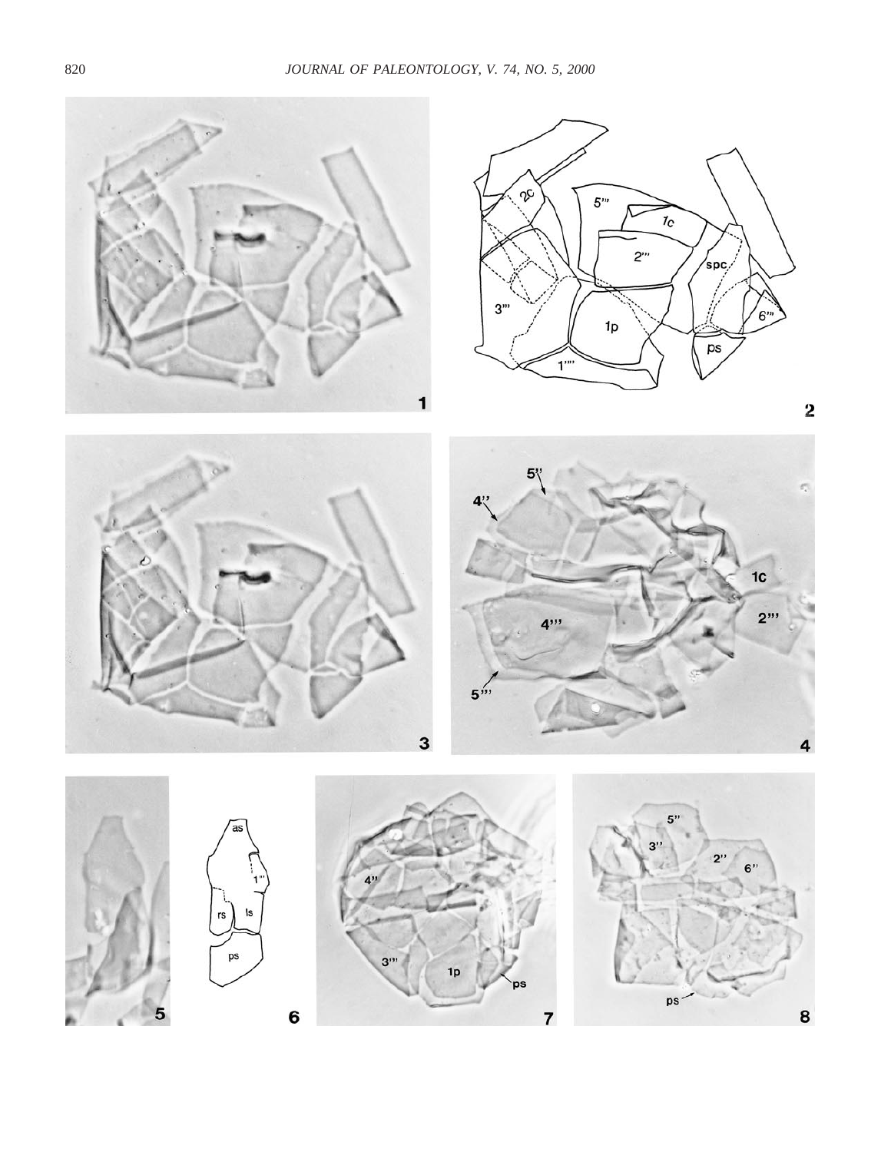



 $\overline{\mathbf{2}}$ 



k ċ

ps







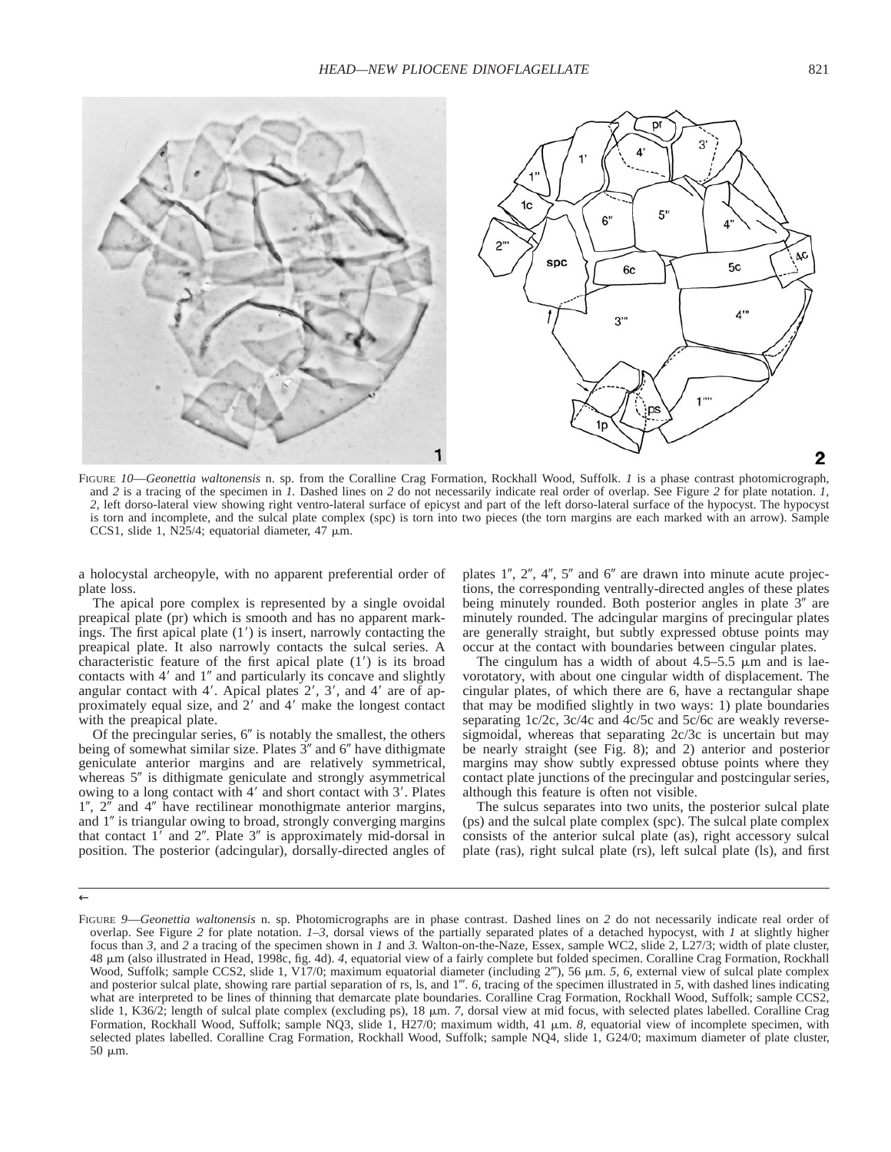

FIGURE *10*—*Geonettia waltonensis* n. sp. from the Coralline Crag Formation, Rockhall Wood, Suffolk. *1* is a phase contrast photomicrograph, and *2* is a tracing of the specimen in *1.* Dashed lines on *2* do not necessarily indicate real order of overlap. See Figure *2* for plate notation. *1, 2,* left dorso-lateral view showing right ventro-lateral surface of epicyst and part of the left dorso-lateral surface of the hypocyst. The hypocyst is torn and incomplete, and the sulcal plate complex (spc) is torn into two pieces (the torn margins are each marked with an arrow). Sample CCS1, slide 1, N25/4; equatorial diameter,  $47 \mu m$ .

a holocystal archeopyle, with no apparent preferential order of plate loss.

The apical pore complex is represented by a single ovoidal preapical plate (pr) which is smooth and has no apparent markings. The first apical plate  $(1')$  is insert, narrowly contacting the preapical plate. It also narrowly contacts the sulcal series. A characteristic feature of the first apical plate  $(1')$  is its broad contacts with  $4'$  and  $1''$  and particularly its concave and slightly angular contact with  $4'$ . Apical plates  $2'$ ,  $3'$ , and  $4'$  are of approximately equal size, and  $2'$  and  $4'$  make the longest contact with the preapical plate.

Of the precingular series,  $6''$  is notably the smallest, the others being of somewhat similar size. Plates  $3''$  and  $6''$  have dithigmate geniculate anterior margins and are relatively symmetrical, whereas  $5''$  is dithigmate geniculate and strongly asymmetrical owing to a long contact with  $4'$  and short contact with  $3'$ . Plates  $1''$ ,  $2''$  and  $4''$  have rectilinear monothigmate anterior margins, and 1" is triangular owing to broad, strongly converging margins that contact 1' and 2". Plate  $3$ " is approximately mid-dorsal in position. The posterior (adcingular), dorsally-directed angles of plates  $1^{\prime\prime}$ ,  $2^{\prime\prime}$ ,  $4^{\prime\prime}$ ,  $5^{\prime\prime}$  and  $6^{\prime\prime}$  are drawn into minute acute projections, the corresponding ventrally-directed angles of these plates being minutely rounded. Both posterior angles in plate  $3''$  are minutely rounded. The adcingular margins of precingular plates are generally straight, but subtly expressed obtuse points may occur at the contact with boundaries between cingular plates.

The cingulum has a width of about  $4.5-5.5 \mu m$  and is laevorotatory, with about one cingular width of displacement. The cingular plates, of which there are 6, have a rectangular shape that may be modified slightly in two ways: 1) plate boundaries separating 1c/2c, 3c/4c and 4c/5c and 5c/6c are weakly reversesigmoidal, whereas that separating 2c/3c is uncertain but may be nearly straight (see Fig. 8); and 2) anterior and posterior margins may show subtly expressed obtuse points where they contact plate junctions of the precingular and postcingular series, although this feature is often not visible.

The sulcus separates into two units, the posterior sulcal plate (ps) and the sulcal plate complex (spc). The sulcal plate complex consists of the anterior sulcal plate (as), right accessory sulcal plate (ras), right sulcal plate (rs), left sulcal plate (ls), and first

<sup>←</sup>

FIGURE *9*—*Geonettia waltonensis* n. sp. Photomicrographs are in phase contrast. Dashed lines on *2* do not necessarily indicate real order of overlap. See Figure *2* for plate notation. *1*–*3,* dorsal views of the partially separated plates of a detached hypocyst, with *1* at slightly higher focus than *3,* and *2* a tracing of the specimen shown in *1* and *3.* Walton-on-the-Naze, Essex, sample WC2, slide 2, L27/3; width of plate cluster, 48 mm (also illustrated in Head, 1998c, fig. 4d). *4,* equatorial view of a fairly complete but folded specimen. Coralline Crag Formation, Rockhall Wood, Suffolk; sample CCS2, slide 1, V17/0; maximum equatorial diameter (including 2<sup>m</sup>), 56  $\mu$ m. 5, 6, external view of sulcal plate complex and posterior sulcal plate, showing rare partial separation of rs, ls, and 1<sup>m</sup>. 6, tracing of the specimen illustrated in 5, with dashed lines indicating what are interpreted to be lines of thinning that demarcate plate boundaries. Coralline Crag Formation, Rockhall Wood, Suffolk; sample CCS2, slide 1, K36/2; length of sulcal plate complex (excluding ps), 18 mm. *7,* dorsal view at mid focus, with selected plates labelled. Coralline Crag Formation, Rockhall Wood, Suffolk; sample NQ3, slide 1, H27/0; maximum width, 41 mm. *8,* equatorial view of incomplete specimen, with selected plates labelled. Coralline Crag Formation, Rockhall Wood, Suffolk; sample NQ4, slide 1, G24/0; maximum diameter of plate cluster,  $50 \mu m$ .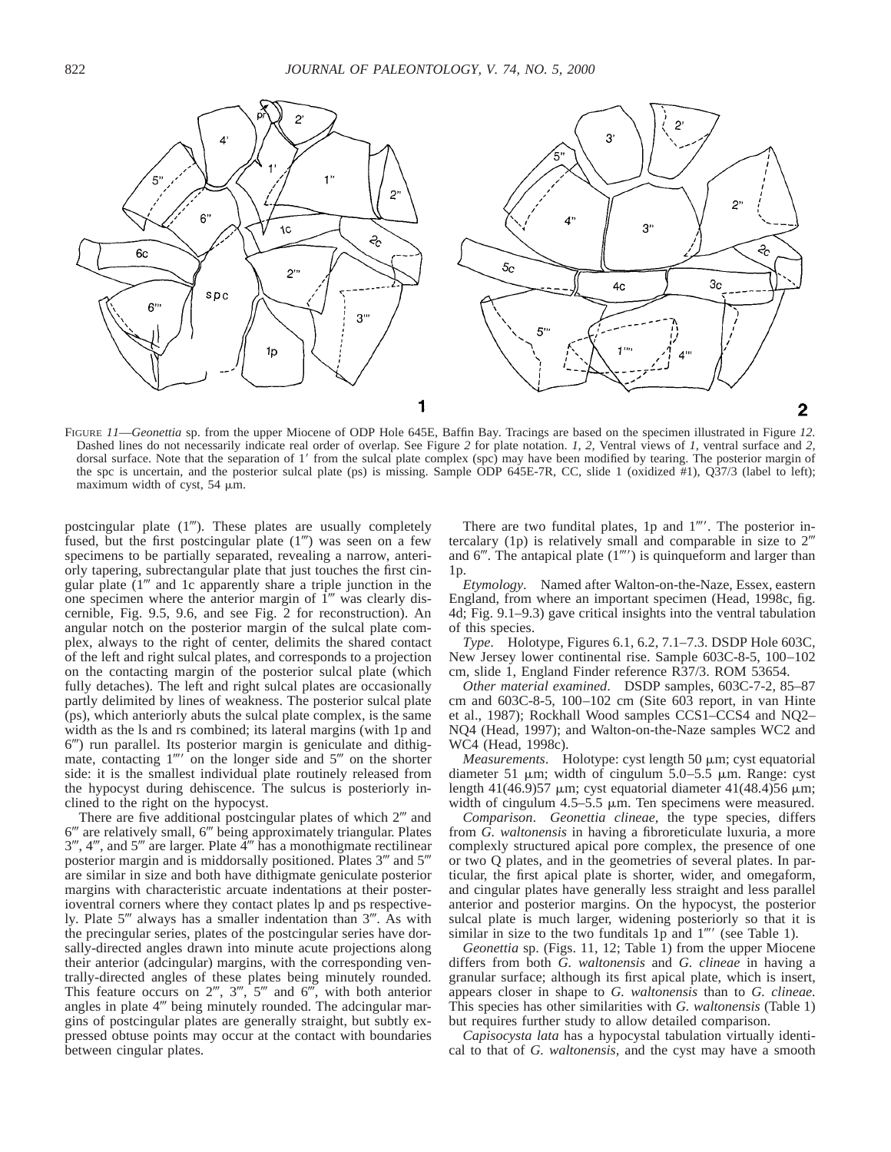

FIGURE *11*—*Geonettia* sp. from the upper Miocene of ODP Hole 645E, Baffin Bay. Tracings are based on the specimen illustrated in Figure *12.* Dashed lines do not necessarily indicate real order of overlap. See Figure *2* for plate notation. *1, 2,* Ventral views of *1,* ventral surface and *2,* dorsal surface. Note that the separation of 1' from the sulcal plate complex (spc) may have been modified by tearing. The posterior margin of the spc is uncertain, and the posterior sulcal plate (ps) is missing. Sample ODP 645E-7R, CC, slide 1 (oxidized #1), Q37/3 (label to left); maximum width of cyst,  $54 \mu m$ .

postcingular plate  $(1<sup>m</sup>)$ . These plates are usually completely fused, but the first postcingular plate  $(1<sup>m</sup>)$  was seen on a few specimens to be partially separated, revealing a narrow, anteriorly tapering, subrectangular plate that just touches the first cingular plate  $(1<sup>m</sup>$  and 1c apparently share a triple junction in the one specimen where the anterior margin of  $1^{\prime\prime\prime}$  was clearly discernible, Fig. 9.5, 9.6, and see Fig. 2 for reconstruction). An angular notch on the posterior margin of the sulcal plate complex, always to the right of center, delimits the shared contact of the left and right sulcal plates, and corresponds to a projection on the contacting margin of the posterior sulcal plate (which fully detaches). The left and right sulcal plates are occasionally partly delimited by lines of weakness. The posterior sulcal plate (ps), which anteriorly abuts the sulcal plate complex, is the same width as the ls and rs combined; its lateral margins (with 1p and 6") run parallel. Its posterior margin is geniculate and dithigmate, contacting  $1^{m}$  on the longer side and  $5^{m}$  on the shorter side: it is the smallest individual plate routinely released from the hypocyst during dehiscence. The sulcus is posteriorly inclined to the right on the hypocyst.

There are five additional postcingular plates of which 2<sup>*m*</sup> and  $6''$  are relatively small,  $6''$  being approximately triangular. Plates  $3''', 4''',$  and  $5'''$  are larger. Plate  $4'''$  has a monothigmate rectilinear posterior margin and is middorsally positioned. Plates 3<sup>*m*</sup> and 5<sup>*m*</sup> are similar in size and both have dithigmate geniculate posterior margins with characteristic arcuate indentations at their posterioventral corners where they contact plates lp and ps respectively. Plate 5<sup>*m*</sup> always has a smaller indentation than 3<sup>*m*</sup>. As with the precingular series, plates of the postcingular series have dorsally-directed angles drawn into minute acute projections along their anterior (adcingular) margins, with the corresponding ventrally-directed angles of these plates being minutely rounded. This feature occurs on  $2^{\prime\prime\prime}$ ,  $3^{\prime\prime\prime}$ ,  $5^{\prime\prime\prime}$  and  $6^{\prime\prime\prime}$ , with both anterior angles in plate 4<sup>"</sup> being minutely rounded. The adcingular margins of postcingular plates are generally straight, but subtly expressed obtuse points may occur at the contact with boundaries between cingular plates.

There are two fundital plates, 1p and  $1''''$ . The posterior intercalary  $(1p)$  is relatively small and comparable in size to  $2<sup>m</sup>$ and  $6^{\prime\prime\prime}$ . The antapical plate  $(1^{\prime\prime\prime\prime})$  is quinqueform and larger than 1p.

*Etymology*.Named after Walton-on-the-Naze, Essex, eastern England, from where an important specimen (Head, 1998c, fig. 4d; Fig. 9.1–9.3) gave critical insights into the ventral tabulation of this species.

*Type*.Holotype, Figures 6.1, 6.2, 7.1–7.3. DSDP Hole 603C, New Jersey lower continental rise. Sample 603C-8-5, 100–102 cm, slide 1, England Finder reference R37/3. ROM 53654.

*Other material examined.*—DSDP samples, 603C-7-2, 85–87 cm and 603C-8-5, 100–102 cm (Site 603 report, in van Hinte et al., 1987); Rockhall Wood samples CCS1–CCS4 and NQ2– NQ4 (Head, 1997); and Walton-on-the-Naze samples WC2 and WC4 (Head, 1998c).

*Measurements*.—Holotype: cyst length 50 µm; cyst equatorial diameter 51  $\mu$ m; width of cingulum 5.0–5.5  $\mu$ m. Range: cyst length 41(46.9)57  $\mu$ m; cyst equatorial diameter 41(48.4)56  $\mu$ m; width of cingulum  $4.5-5.5 \mu m$ . Ten specimens were measured.

*Comparison*.*Geonettia clineae,* the type species, differs from *G. waltonensis* in having a fibroreticulate luxuria, a more complexly structured apical pore complex, the presence of one or two Q plates, and in the geometries of several plates. In particular, the first apical plate is shorter, wider, and omegaform, and cingular plates have generally less straight and less parallel anterior and posterior margins. On the hypocyst, the posterior sulcal plate is much larger, widening posteriorly so that it is similar in size to the two funditals  $1p$  and  $1''''$  (see Table 1).

*Geonettia* sp. (Figs. 11, 12; Table 1) from the upper Miocene differs from both *G. waltonensis* and *G. clineae* in having a granular surface; although its first apical plate, which is insert, appears closer in shape to *G. waltonensis* than to *G. clineae.* This species has other similarities with *G. waltonensis* (Table 1) but requires further study to allow detailed comparison.

*Capisocysta lata* has a hypocystal tabulation virtually identical to that of *G. waltonensis,* and the cyst may have a smooth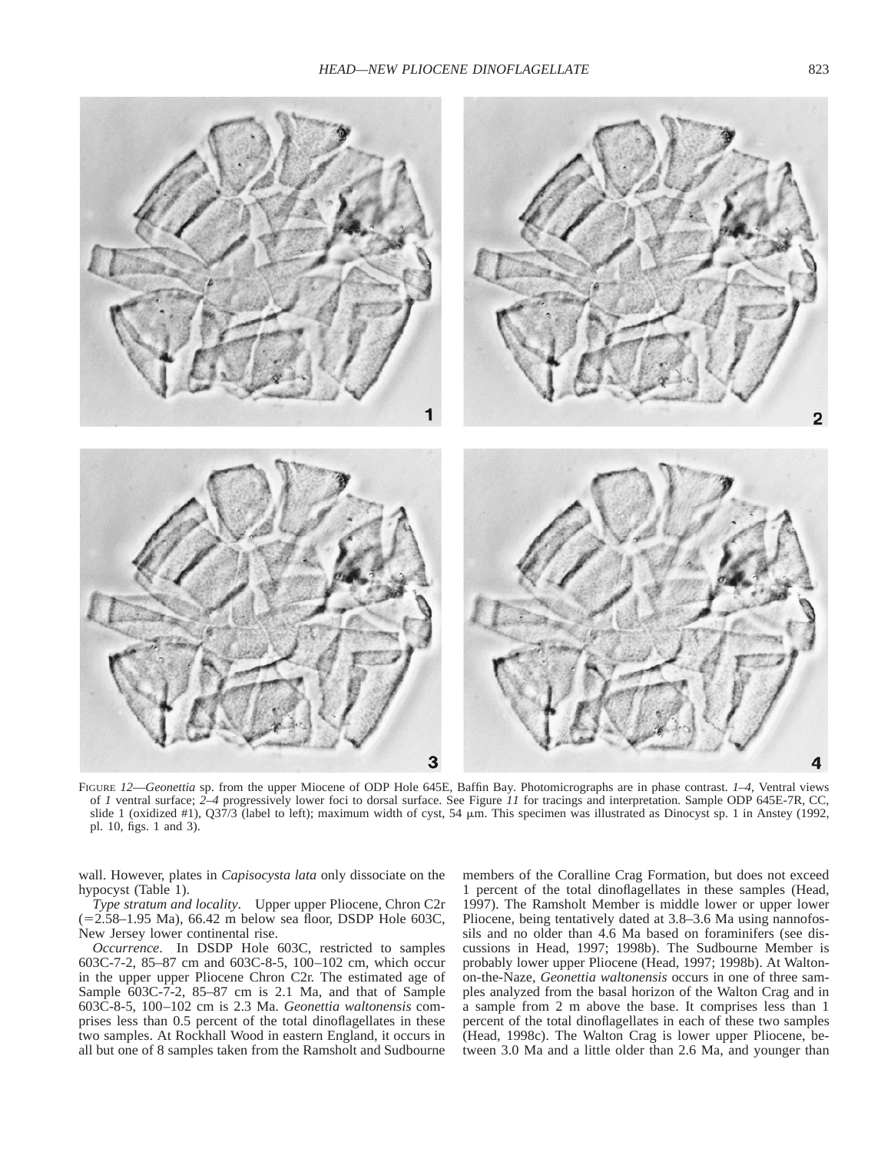

FIGURE *12*—*Geonettia* sp. from the upper Miocene of ODP Hole 645E, Baffin Bay. Photomicrographs are in phase contrast. *1*–*4*, Ventral views of *1* ventral surface; *2*–*4* progressively lower foci to dorsal surface. See Figure *11* for tracings and interpretation. Sample ODP 645E-7R, CC, slide 1 (oxidized #1),  $Q37/3$  (label to left); maximum width of cyst, 54  $\mu$ m. This specimen was illustrated as Dinocyst sp. 1 in Anstey (1992, pl. 10, figs. 1 and 3).

wall. However, plates in *Capisocysta lata* only dissociate on the hypocyst (Table 1).

*Type stratum and locality*.—Upper upper Pliocene, Chron C2r  $(=2.58-1.95 \text{ Ma})$ , 66.42 m below sea floor, DSDP Hole 603C, New Jersey lower continental rise.

*Occurrence*.-In DSDP Hole 603C, restricted to samples 603C-7-2, 85–87 cm and 603C-8-5, 100–102 cm, which occur in the upper upper Pliocene Chron C2r. The estimated age of Sample  $\overline{603C-7-2}$ , 85–87 cm is 2.1 Ma, and that of Sample 603C-8-5, 100–102 cm is 2.3 Ma. *Geonettia waltonensis* comprises less than 0.5 percent of the total dinoflagellates in these two samples. At Rockhall Wood in eastern England, it occurs in all but one of 8 samples taken from the Ramsholt and Sudbourne

members of the Coralline Crag Formation, but does not exceed 1 percent of the total dinoflagellates in these samples (Head, 1997). The Ramsholt Member is middle lower or upper lower Pliocene, being tentatively dated at 3.8–3.6 Ma using nannofossils and no older than 4.6 Ma based on foraminifers (see discussions in Head, 1997; 1998b). The Sudbourne Member is probably lower upper Pliocene (Head, 1997; 1998b). At Waltonon-the-Naze, *Geonettia waltonensis* occurs in one of three samples analyzed from the basal horizon of the Walton Crag and in a sample from 2 m above the base. It comprises less than 1 percent of the total dinoflagellates in each of these two samples (Head, 1998c). The Walton Crag is lower upper Pliocene, between 3.0 Ma and a little older than 2.6 Ma, and younger than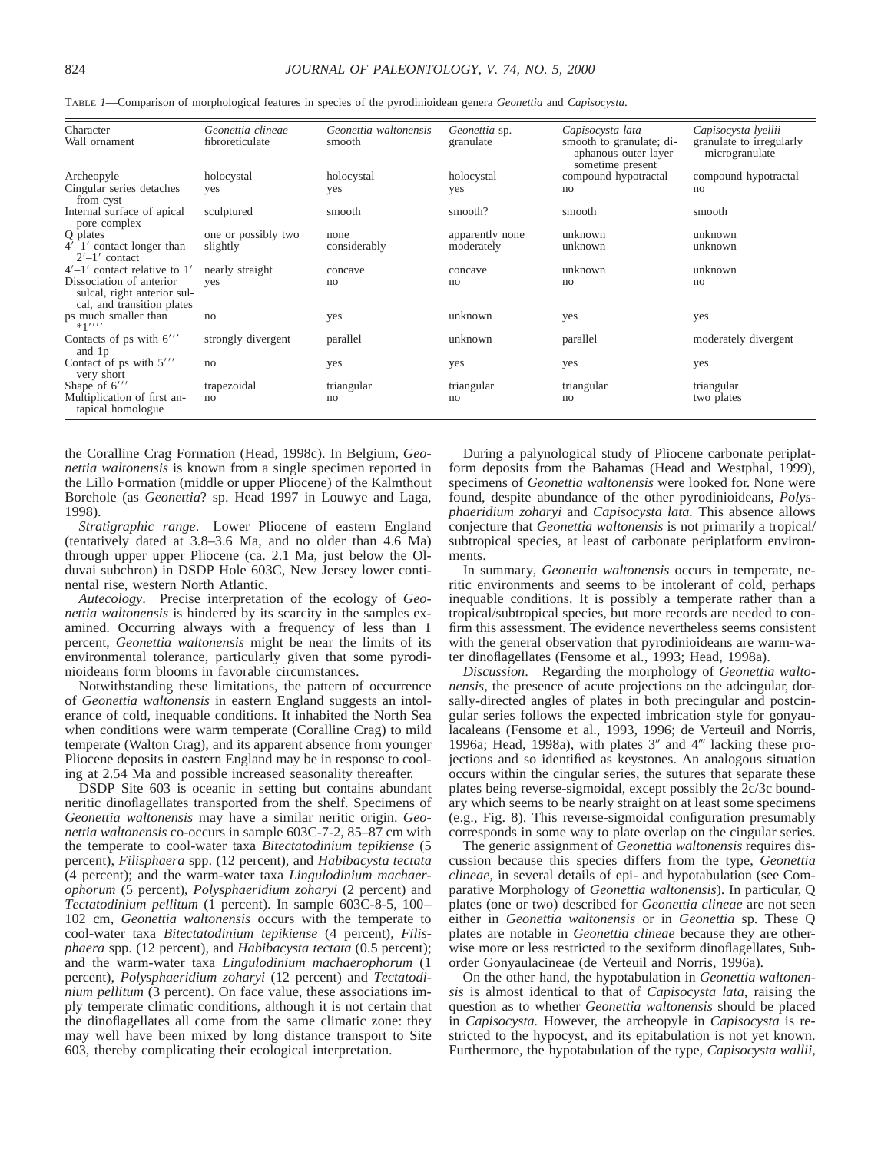| Character<br>Wall ornament                                                            | Geonettia clineae<br>fibroreticulate | Geonettia waltonensis<br>smooth | Geonettia sp.<br>granulate | Capisocysta lata<br>smooth to granulate; di-<br>aphanous outer layer<br>sometime present | Capisocysta lyellii<br>granulate to irregularly<br>microgranulate |
|---------------------------------------------------------------------------------------|--------------------------------------|---------------------------------|----------------------------|------------------------------------------------------------------------------------------|-------------------------------------------------------------------|
| Archeopyle                                                                            | holocystal                           | holocystal                      | holocystal                 | compound hypotractal                                                                     | compound hypotractal                                              |
| Cingular series detaches<br>from cyst                                                 | yes                                  | yes                             | yes                        | no                                                                                       | no                                                                |
| Internal surface of apical<br>pore complex                                            | sculptured                           | smooth                          | smooth?                    | smooth                                                                                   | smooth                                                            |
| Q plates                                                                              | one or possibly two                  | none                            | apparently none            | unknown                                                                                  | unknown                                                           |
| $4'-1'$ contact longer than<br>$2'-1'$ contact                                        | slightly                             | considerably                    | moderately                 | unknown                                                                                  | unknown                                                           |
| $4'-1'$ contact relative to $1'$                                                      | nearly straight                      | concave                         | concave                    | unknown                                                                                  | unknown                                                           |
| Dissociation of anterior<br>sulcal, right anterior sul-<br>cal, and transition plates | yes                                  | no                              | no                         | no                                                                                       | no                                                                |
| ps much smaller than<br>$*1''''$                                                      | no                                   | yes                             | unknown                    | yes                                                                                      | yes                                                               |
| Contacts of ps with $6''$<br>and 1p                                                   | strongly divergent                   | parallel                        | unknown                    | parallel                                                                                 | moderately divergent                                              |
| Contact of ps with $5''$<br>very short                                                | no                                   | yes                             | yes                        | yes                                                                                      | yes                                                               |
| Shape of 6""                                                                          | trapezoidal                          | triangular                      | triangular                 | triangular                                                                               | triangular                                                        |
| Multiplication of first an-<br>tapical homologue                                      | no                                   | no                              | no                         | no                                                                                       | two plates                                                        |
|                                                                                       |                                      |                                 |                            |                                                                                          |                                                                   |

TABLE *1*—Comparison of morphological features in species of the pyrodinioidean genera *Geonettia* and *Capisocysta*.

the Coralline Crag Formation (Head, 1998c). In Belgium, *Geonettia waltonensis* is known from a single specimen reported in the Lillo Formation (middle or upper Pliocene) of the Kalmthout Borehole (as *Geonettia*? sp. Head 1997 in Louwye and Laga, 1998).

*Stratigraphic range*.Lower Pliocene of eastern England (tentatively dated at 3.8–3.6 Ma, and no older than 4.6 Ma) through upper upper Pliocene (ca. 2.1 Ma, just below the Olduvai subchron) in DSDP Hole 603C, New Jersey lower continental rise, western North Atlantic.

Autecology.—Precise interpretation of the ecology of *Geonettia waltonensis* is hindered by its scarcity in the samples examined. Occurring always with a frequency of less than 1 percent, *Geonettia waltonensis* might be near the limits of its environmental tolerance, particularly given that some pyrodinioideans form blooms in favorable circumstances.

Notwithstanding these limitations, the pattern of occurrence of *Geonettia waltonensis* in eastern England suggests an intolerance of cold, inequable conditions. It inhabited the North Sea when conditions were warm temperate (Coralline Crag) to mild temperate (Walton Crag), and its apparent absence from younger Pliocene deposits in eastern England may be in response to cooling at 2.54 Ma and possible increased seasonality thereafter.

DSDP Site 603 is oceanic in setting but contains abundant neritic dinoflagellates transported from the shelf. Specimens of *Geonettia waltonensis* may have a similar neritic origin. *Geonettia waltonensis* co-occurs in sample 603C-7-2, 85–87 cm with the temperate to cool-water taxa *Bitectatodinium tepikiense* (5 percent), *Filisphaera* spp. (12 percent), and *Habibacysta tectata* (4 percent); and the warm-water taxa *Lingulodinium machaerophorum* (5 percent), *Polysphaeridium zoharyi* (2 percent) and *Tectatodinium pellitum* (1 percent). In sample 603C-8-5, 100– 102 cm, *Geonettia waltonensis* occurs with the temperate to cool-water taxa *Bitectatodinium tepikiense* (4 percent), *Filisphaera* spp. (12 percent), and *Habibacysta tectata* (0.5 percent); and the warm-water taxa *Lingulodinium machaerophorum* (1 percent), *Polysphaeridium zoharyi* (12 percent) and *Tectatodinium pellitum* (3 percent). On face value, these associations imply temperate climatic conditions, although it is not certain that the dinoflagellates all come from the same climatic zone: they may well have been mixed by long distance transport to Site 603, thereby complicating their ecological interpretation.

During a palynological study of Pliocene carbonate periplatform deposits from the Bahamas (Head and Westphal, 1999), specimens of *Geonettia waltonensis* were looked for. None were found, despite abundance of the other pyrodinioideans, *Polysphaeridium zoharyi* and *Capisocysta lata.* This absence allows conjecture that *Geonettia waltonensis* is not primarily a tropical/ subtropical species, at least of carbonate periplatform environments.

In summary, *Geonettia waltonensis* occurs in temperate, neritic environments and seems to be intolerant of cold, perhaps inequable conditions. It is possibly a temperate rather than a tropical/subtropical species, but more records are needed to confirm this assessment. The evidence nevertheless seems consistent with the general observation that pyrodinioideans are warm-water dinoflagellates (Fensome et al., 1993; Head, 1998a).

*Discussion*.Regarding the morphology of *Geonettia waltonensis*, the presence of acute projections on the adcingular, dorsally-directed angles of plates in both precingular and postcingular series follows the expected imbrication style for gonyaulacaleans (Fensome et al., 1993, 1996; de Verteuil and Norris, 1996a; Head, 1998a), with plates  $3''$  and  $4'''$  lacking these projections and so identified as keystones. An analogous situation occurs within the cingular series, the sutures that separate these plates being reverse-sigmoidal, except possibly the 2c/3c boundary which seems to be nearly straight on at least some specimens (e.g., Fig. 8). This reverse-sigmoidal configuration presumably corresponds in some way to plate overlap on the cingular series.

The generic assignment of *Geonettia waltonensis* requires discussion because this species differs from the type, *Geonettia clineae,* in several details of epi- and hypotabulation (see Comparative Morphology of *Geonettia waltonensis*). In particular, Q plates (one or two) described for *Geonettia clineae* are not seen either in *Geonettia waltonensis* or in *Geonettia* sp. These Q plates are notable in *Geonettia clineae* because they are otherwise more or less restricted to the sexiform dinoflagellates, Suborder Gonyaulacineae (de Verteuil and Norris, 1996a).

On the other hand, the hypotabulation in *Geonettia waltonensis* is almost identical to that of *Capisocysta lata,* raising the question as to whether *Geonettia waltonensis* should be placed in *Capisocysta.* However, the archeopyle in *Capisocysta* is restricted to the hypocyst, and its epitabulation is not yet known. Furthermore, the hypotabulation of the type, *Capisocysta wallii,*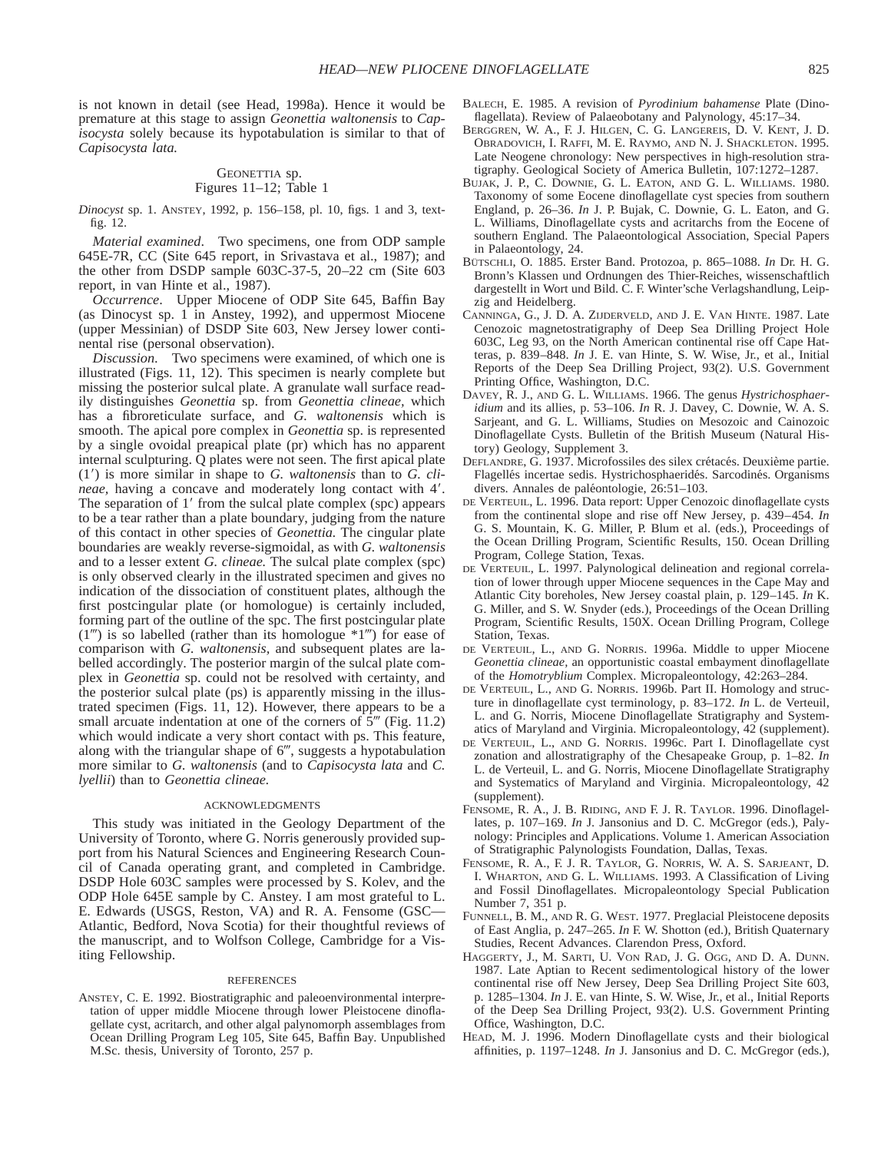is not known in detail (see Head, 1998a). Hence it would be premature at this stage to assign *Geonettia waltonensis* to *Capisocysta* solely because its hypotabulation is similar to that of *Capisocysta lata.*

# GEONETTIA sp. Figures 11–12; Table 1

*Dinocyst* sp. 1. ANSTEY, 1992, p. 156–158, pl. 10, figs. 1 and 3, textfig. 12.

*Material examined*.—Two specimens, one from ODP sample 645E-7R, CC (Site 645 report, in Srivastava et al., 1987); and the other from DSDP sample 603C-37-5, 20–22 cm (Site 603 report, in van Hinte et al., 1987).

*Occurrence*.—Upper Miocene of ODP Site 645, Baffin Bay (as Dinocyst sp. 1 in Anstey, 1992), and uppermost Miocene (upper Messinian) of DSDP Site 603, New Jersey lower continental rise (personal observation).

*Discussion*.—Two specimens were examined, of which one is illustrated (Figs. 11, 12). This specimen is nearly complete but missing the posterior sulcal plate. A granulate wall surface readily distinguishes *Geonettia* sp. from *Geonettia clineae,* which has a fibroreticulate surface, and *G. waltonensis* which is smooth. The apical pore complex in *Geonettia* sp. is represented by a single ovoidal preapical plate (pr) which has no apparent internal sculpturing. Q plates were not seen. The first apical plate (19) is more similar in shape to *G. waltonensis* than to *G. clineae*, having a concave and moderately long contact with 4'. The separation of  $1'$  from the sulcal plate complex (spc) appears to be a tear rather than a plate boundary, judging from the nature of this contact in other species of *Geonettia.* The cingular plate boundaries are weakly reverse-sigmoidal, as with *G. waltonensis* and to a lesser extent *G. clineae.* The sulcal plate complex (spc) is only observed clearly in the illustrated specimen and gives no indication of the dissociation of constituent plates, although the first postcingular plate (or homologue) is certainly included, forming part of the outline of the spc. The first postcingular plate  $(1<sup>m</sup>)$  is so labelled (rather than its homologue  $*1<sup>m</sup>$ ) for ease of comparison with *G. waltonensis,* and subsequent plates are labelled accordingly. The posterior margin of the sulcal plate complex in *Geonettia* sp. could not be resolved with certainty, and the posterior sulcal plate (ps) is apparently missing in the illustrated specimen (Figs. 11, 12). However, there appears to be a small arcuate indentation at one of the corners of  $5^{\prime\prime}$  (Fig. 11.2) which would indicate a very short contact with ps. This feature, along with the triangular shape of  $6^{\prime\prime\prime}$ , suggests a hypotabulation more similar to *G. waltonensis* (and to *Capisocysta lata* and *C. lyellii*) than to *Geonettia clineae.*

#### ACKNOWLEDGMENTS

This study was initiated in the Geology Department of the University of Toronto, where G. Norris generously provided support from his Natural Sciences and Engineering Research Council of Canada operating grant, and completed in Cambridge. DSDP Hole 603C samples were processed by S. Kolev, and the ODP Hole 645E sample by C. Anstey. I am most grateful to L. E. Edwards (USGS, Reston, VA) and R. A. Fensome (GSC— Atlantic, Bedford, Nova Scotia) for their thoughtful reviews of the manuscript, and to Wolfson College, Cambridge for a Visiting Fellowship.

#### REFERENCES

ANSTEY, C. E. 1992. Biostratigraphic and paleoenvironmental interpretation of upper middle Miocene through lower Pleistocene dinoflagellate cyst, acritarch, and other algal palynomorph assemblages from Ocean Drilling Program Leg 105, Site 645, Baffin Bay. Unpublished M.Sc. thesis, University of Toronto, 257 p.

- BALECH, E. 1985. A revision of *Pyrodinium bahamense* Plate (Dinoflagellata). Review of Palaeobotany and Palynology, 45:17–34.
- BERGGREN, W. A., F. J. HILGEN, C. G. LANGEREIS, D. V. KENT, J. D. OBRADOVICH, I. RAFFI, M. E. RAYMO, AND N. J. SHACKLETON. 1995. Late Neogene chronology: New perspectives in high-resolution stratigraphy. Geological Society of America Bulletin, 107:1272–1287.
- BUJAK, J. P., C. DOWNIE, G. L. EATON, AND G. L. WILLIAMS. 1980. Taxonomy of some Eocene dinoflagellate cyst species from southern England, p. 26–36. *In* J. P. Bujak, C. Downie, G. L. Eaton, and G. L. Williams, Dinoflagellate cysts and acritarchs from the Eocene of southern England. The Palaeontological Association, Special Papers in Palaeontology, 24.
- BÜTSCHLI, O. 1885. Erster Band. Protozoa, p. 865-1088. *In* Dr. H. G. Bronn's Klassen und Ordnungen des Thier-Reiches, wissenschaftlich dargestellt in Wort und Bild. C. F. Winter'sche Verlagshandlung, Leipzig and Heidelberg.
- CANNINGA, G., J. D. A. ZIJDERVELD, AND J. E. VAN HINTE. 1987. Late Cenozoic magnetostratigraphy of Deep Sea Drilling Project Hole 603C, Leg 93, on the North American continental rise off Cape Hatteras, p. 839–848. *In* J. E. van Hinte, S. W. Wise, Jr., et al., Initial Reports of the Deep Sea Drilling Project, 93(2). U.S. Government Printing Office, Washington, D.C.
- DAVEY, R. J., AND G. L. WILLIAMS. 1966. The genus *Hystrichosphaeridium* and its allies, p. 53–106. *In* R. J. Davey, C. Downie, W. A. S. Sarjeant, and G. L. Williams, Studies on Mesozoic and Cainozoic Dinoflagellate Cysts. Bulletin of the British Museum (Natural History) Geology, Supplement 3.
- DEFLANDRE, G. 1937. Microfossiles des silex crétacés. Deuxième partie. Flagellés incertae sedis. Hystrichosphaeridés. Sarcodinés. Organisms divers. Annales de paléontologie, 26:51-103.
- DE VERTEUIL, L. 1996. Data report: Upper Cenozoic dinoflagellate cysts from the continental slope and rise off New Jersey, p. 439–454. *In* G. S. Mountain, K. G. Miller, P. Blum et al. (eds.), Proceedings of the Ocean Drilling Program, Scientific Results, 150. Ocean Drilling Program, College Station, Texas.
- DE VERTEUIL, L. 1997. Palynological delineation and regional correlation of lower through upper Miocene sequences in the Cape May and Atlantic City boreholes, New Jersey coastal plain, p. 129–145. *In* K. G. Miller, and S. W. Snyder (eds.), Proceedings of the Ocean Drilling Program, Scientific Results, 150X. Ocean Drilling Program, College Station, Texas.
- DE VERTEUIL, L., AND G. NORRIS. 1996a. Middle to upper Miocene *Geonettia clineae,* an opportunistic coastal embayment dinoflagellate of the *Homotryblium* Complex. Micropaleontology, 42:263–284.
- DE VERTEUIL, L., AND G. NORRIS. 1996b. Part II. Homology and structure in dinoflagellate cyst terminology, p. 83–172. *In* L. de Verteuil, L. and G. Norris, Miocene Dinoflagellate Stratigraphy and Systematics of Maryland and Virginia. Micropaleontology, 42 (supplement).
- DE VERTEUIL, L., AND G. NORRIS. 1996c. Part I. Dinoflagellate cyst zonation and allostratigraphy of the Chesapeake Group, p. 1–82. *In* L. de Verteuil, L. and G. Norris, Miocene Dinoflagellate Stratigraphy and Systematics of Maryland and Virginia. Micropaleontology, 42 (supplement).
- FENSOME, R. A., J. B. RIDING, AND F. J. R. TAYLOR. 1996. Dinoflagellates, p. 107–169. *In* J. Jansonius and D. C. McGregor (eds.), Palynology: Principles and Applications. Volume 1. American Association of Stratigraphic Palynologists Foundation, Dallas, Texas.
- FENSOME, R. A., F. J. R. TAYLOR, G. NORRIS, W. A. S. SARJEANT, D. I. WHARTON, AND G. L. WILLIAMS. 1993. A Classification of Living and Fossil Dinoflagellates. Micropaleontology Special Publication Number 7, 351 p.
- FUNNELL, B. M., AND R. G. WEST. 1977. Preglacial Pleistocene deposits of East Anglia, p. 247–265. *In* F. W. Shotton (ed.), British Quaternary Studies, Recent Advances. Clarendon Press, Oxford.
- HAGGERTY, J., M. SARTI, U. VON RAD, J. G. OGG, AND D. A. DUNN. 1987. Late Aptian to Recent sedimentological history of the lower continental rise off New Jersey, Deep Sea Drilling Project Site 603, p. 1285–1304. *In* J. E. van Hinte, S. W. Wise, Jr., et al., Initial Reports of the Deep Sea Drilling Project, 93(2). U.S. Government Printing Office, Washington, D.C.
- HEAD, M. J. 1996. Modern Dinoflagellate cysts and their biological affinities, p. 1197–1248. *In* J. Jansonius and D. C. McGregor (eds.),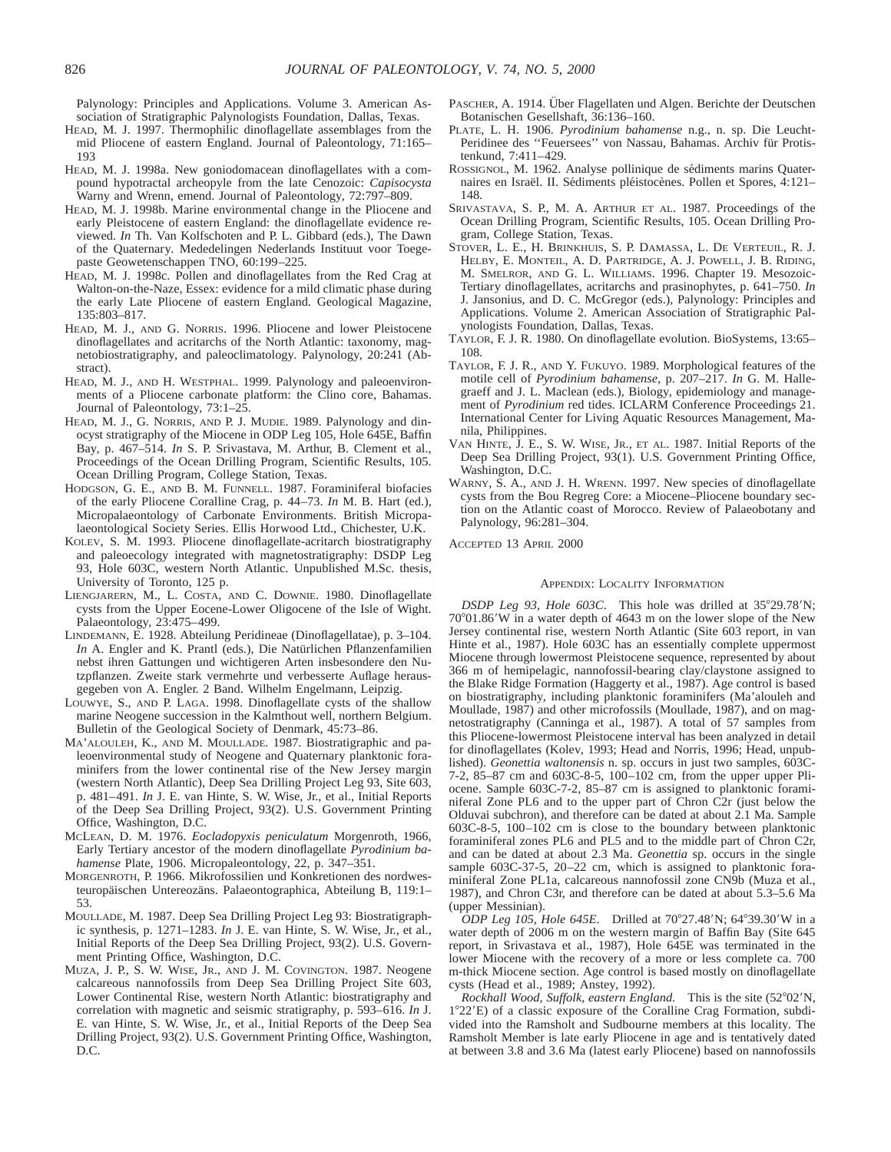Palynology: Principles and Applications. Volume 3. American Association of Stratigraphic Palynologists Foundation, Dallas, Texas.

- HEAD, M. J. 1997. Thermophilic dinoflagellate assemblages from the mid Pliocene of eastern England. Journal of Paleontology, 71:165– 193
- HEAD, M. J. 1998a. New goniodomacean dinoflagellates with a compound hypotractal archeopyle from the late Cenozoic: *Capisocysta* Warny and Wrenn, emend. Journal of Paleontology, 72:797–809.
- HEAD, M. J. 1998b. Marine environmental change in the Pliocene and early Pleistocene of eastern England: the dinoflagellate evidence reviewed. *In* Th. Van Kolfschoten and P. L. Gibbard (eds.), The Dawn of the Quaternary. Mededelingen Nederlands Instituut voor Toegepaste Geowetenschappen TNO, 60:199–225.
- HEAD, M. J. 1998c. Pollen and dinoflagellates from the Red Crag at Walton-on-the-Naze, Essex: evidence for a mild climatic phase during the early Late Pliocene of eastern England. Geological Magazine, 135:803–817.
- HEAD, M. J., AND G. NORRIS. 1996. Pliocene and lower Pleistocene dinoflagellates and acritarchs of the North Atlantic: taxonomy, magnetobiostratigraphy, and paleoclimatology. Palynology, 20:241 (Abstract).
- HEAD, M. J., AND H. WESTPHAL. 1999. Palynology and paleoenvironments of a Pliocene carbonate platform: the Clino core, Bahamas. Journal of Paleontology, 73:1–25.
- HEAD, M. J., G. NORRIS, AND P. J. MUDIE. 1989. Palynology and dinocyst stratigraphy of the Miocene in ODP Leg 105, Hole 645E, Baffin Bay, p. 467–514. *In* S. P. Srivastava, M. Arthur, B. Clement et al., Proceedings of the Ocean Drilling Program, Scientific Results, 105. Ocean Drilling Program, College Station, Texas.
- HODGSON, G. E., AND B. M. FUNNELL. 1987. Foraminiferal biofacies of the early Pliocene Coralline Crag, p. 44–73. *In* M. B. Hart (ed.), Micropalaeontology of Carbonate Environments. British Micropalaeontological Society Series. Ellis Horwood Ltd., Chichester, U.K.
- KOLEV, S. M. 1993. Pliocene dinoflagellate-acritarch biostratigraphy and paleoecology integrated with magnetostratigraphy: DSDP Leg 93, Hole 603C, western North Atlantic. Unpublished M.Sc. thesis, University of Toronto, 125 p.
- LIENGJARERN, M., L. COSTA, AND C. DOWNIE. 1980. Dinoflagellate cysts from the Upper Eocene-Lower Oligocene of the Isle of Wight. Palaeontology, 23:475–499.
- LINDEMANN, E. 1928. Abteilung Peridineae (Dinoflagellatae), p. 3–104. *In* A. Engler and K. Prantl (eds.), Die Natürlichen Pflanzenfamilien nebst ihren Gattungen und wichtigeren Arten insbesondere den Nutzpflanzen. Zweite stark vermehrte und verbesserte Auflage herausgegeben von A. Engler. 2 Band. Wilhelm Engelmann, Leipzig.
- LOUWYE, S., AND P. LAGA. 1998. Dinoflagellate cysts of the shallow marine Neogene succession in the Kalmthout well, northern Belgium. Bulletin of the Geological Society of Denmark, 45:73–86.
- MA'ALOULEH, K., AND M. MOULLADE. 1987. Biostratigraphic and paleoenvironmental study of Neogene and Quaternary planktonic foraminifers from the lower continental rise of the New Jersey margin (western North Atlantic), Deep Sea Drilling Project Leg 93, Site 603, p. 481–491. *In* J. E. van Hinte, S. W. Wise, Jr., et al., Initial Reports of the Deep Sea Drilling Project, 93(2). U.S. Government Printing Office, Washington, D.C.
- MCLEAN, D. M. 1976. *Eocladopyxis peniculatum* Morgenroth, 1966, Early Tertiary ancestor of the modern dinoflagellate *Pyrodinium bahamense* Plate, 1906. Micropaleontology, 22, p. 347–351.
- MORGENROTH, P. 1966. Mikrofossilien und Konkretionen des nordwesteuropäischen Untereozäns. Palaeontographica, Abteilung B, 119:1-53.
- MOULLADE, M. 1987. Deep Sea Drilling Project Leg 93: Biostratigraphic synthesis, p. 1271–1283. *In* J. E. van Hinte, S. W. Wise, Jr., et al., Initial Reports of the Deep Sea Drilling Project, 93(2). U.S. Government Printing Office, Washington, D.C.
- MUZA, J. P., S. W. WISE, JR., AND J. M. COVINGTON. 1987. Neogene calcareous nannofossils from Deep Sea Drilling Project Site 603, Lower Continental Rise, western North Atlantic: biostratigraphy and correlation with magnetic and seismic stratigraphy, p. 593–616. *In* J. E. van Hinte, S. W. Wise, Jr., et al., Initial Reports of the Deep Sea Drilling Project, 93(2). U.S. Government Printing Office, Washington, D.C.
- PASCHER, A. 1914. Über Flagellaten und Algen. Berichte der Deutschen Botanischen Gesellshaft, 36:136–160.
- PLATE, L. H. 1906. *Pyrodinium bahamense* n.g., n. sp. Die Leucht-Peridinee des "Feuersees" von Nassau, Bahamas. Archiv für Protistenkund, 7:411–429.
- ROSSIGNOL, M. 1962. Analyse pollinique de sédiments marins Quaternaires en Israël. II. Sédiments pléistocènes. Pollen et Spores, 4:121-148.
- SRIVASTAVA, S. P., M. A. ARTHUR ET AL. 1987. Proceedings of the Ocean Drilling Program, Scientific Results, 105. Ocean Drilling Program, College Station, Texas.
- STOVER, L. E., H. BRINKHUIS, S. P. DAMASSA, L. DE VERTEUIL, R. J. HELBY, E. MONTEIL, A. D. PARTRIDGE, A. J. POWELL, J. B. RIDING, M. SMELROR, AND G. L. WILLIAMS. 1996. Chapter 19. Mesozoic-Tertiary dinoflagellates, acritarchs and prasinophytes, p. 641–750. *In* J. Jansonius, and D. C. McGregor (eds.), Palynology: Principles and Applications. Volume 2. American Association of Stratigraphic Palynologists Foundation, Dallas, Texas.
- TAYLOR, F. J. R. 1980. On dinoflagellate evolution. BioSystems, 13:65– 108.
- TAYLOR, F. J. R., AND Y. FUKUYO. 1989. Morphological features of the motile cell of *Pyrodinium bahamense,* p. 207–217. *In* G. M. Hallegraeff and J. L. Maclean (eds.), Biology, epidemiology and management of *Pyrodinium* red tides. ICLARM Conference Proceedings 21. International Center for Living Aquatic Resources Management, Manila, Philippines.
- VAN HINTE, J. E., S. W. WISE, JR., ET AL. 1987. Initial Reports of the Deep Sea Drilling Project, 93(1). U.S. Government Printing Office, Washington, D.C.
- WARNY, S. A., AND J. H. WRENN. 1997. New species of dinoflagellate cysts from the Bou Regreg Core: a Miocene–Pliocene boundary section on the Atlantic coast of Morocco. Review of Palaeobotany and Palynology, 96:281–304.

ACCEPTED 13 APRIL 2000

## APPENDIX: LOCALITY INFORMATION

*DSDP Leg 93, Hole 603C*.—This hole was drilled at 35°29.78'N; 70°01.86'W in a water depth of 4643 m on the lower slope of the New Jersey continental rise, western North Atlantic (Site 603 report, in van Hinte et al., 1987). Hole 603C has an essentially complete uppermost Miocene through lowermost Pleistocene sequence, represented by about 366 m of hemipelagic, nannofossil-bearing clay/claystone assigned to the Blake Ridge Formation (Haggerty et al., 1987). Age control is based on biostratigraphy, including planktonic foraminifers (Ma'alouleh and Moullade, 1987) and other microfossils (Moullade, 1987), and on magnetostratigraphy (Canninga et al., 1987). A total of 57 samples from this Pliocene-lowermost Pleistocene interval has been analyzed in detail for dinoflagellates (Kolev, 1993; Head and Norris, 1996; Head, unpublished). *Geonettia waltonensis* n. sp. occurs in just two samples, 603C-7-2, 85–87 cm and 603C-8-5, 100–102 cm, from the upper upper Pliocene. Sample 603C-7-2, 85–87 cm is assigned to planktonic foraminiferal Zone PL6 and to the upper part of Chron C2r (just below the Olduvai subchron), and therefore can be dated at about 2.1 Ma. Sample 603C-8-5, 100–102 cm is close to the boundary between planktonic foraminiferal zones PL6 and PL5 and to the middle part of Chron C2r, and can be dated at about 2.3 Ma. *Geonettia* sp. occurs in the single sample 603C-37-5, 20–22 cm, which is assigned to planktonic foraminiferal Zone PL1a, calcareous nannofossil zone CN9b (Muza et al., 1987), and Chron C3r, and therefore can be dated at about 5.3–5.6 Ma (upper Messinian).

*ODP Leg 105, Hole 645E.*—Drilled at 70°27.48'N; 64°39.30'W in a water depth of 2006 m on the western margin of Baffin Bay (Site 645 report, in Srivastava et al., 1987), Hole 645E was terminated in the lower Miocene with the recovery of a more or less complete ca. 700 m-thick Miocene section. Age control is based mostly on dinoflagellate cysts (Head et al., 1989; Anstey, 1992).

*Rockhall Wood, Suffolk, eastern England.*—This is the site (52°02'N,  $1^{\circ}22'$ E) of a classic exposure of the Coralline Crag Formation, subdivided into the Ramsholt and Sudbourne members at this locality. The Ramsholt Member is late early Pliocene in age and is tentatively dated at between 3.8 and 3.6 Ma (latest early Pliocene) based on nannofossils